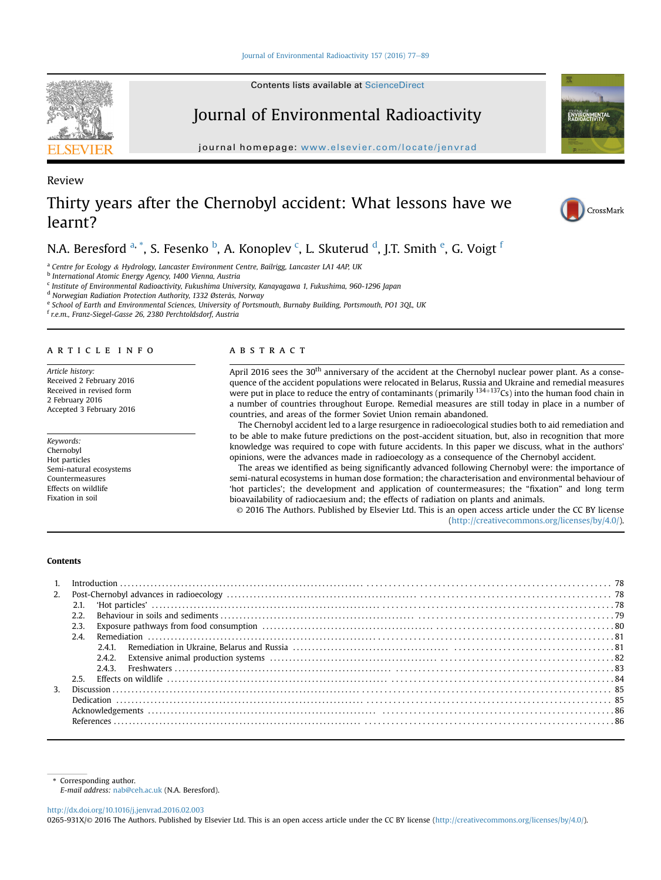# [Journal of Environmental Radioactivity 157 \(2016\) 77](http://dx.doi.org/10.1016/j.jenvrad.2016.02.003)-[89](http://dx.doi.org/10.1016/j.jenvrad.2016.02.003)

Contents lists available at [ScienceDirect](www.sciencedirect.com/science/journal/0265931X)

# Journal of Environmental Radioactivity

journal homepage: [www.elsevier.com/locate/jenvrad](http://www.elsevier.com/locate/jenvrad)

# Thirty years after the Chernobyl accident: What lessons have we learnt?

N.A. Beresford <sup>a, \*</sup>, S. Fesenko <sup>b</sup>, A. Konoplev <sup>c</sup>, L. Skuterud <sup>d</sup>, J.T. Smith <sup>e</sup>, G. Voigt <sup>f</sup>

<sup>a</sup> Centre for Ecology & Hydrology, Lancaster Environment Centre, Bailrigg, Lancaster LA1 4AP, UK

<sup>b</sup> International Atomic Energy Agency, 1400 Vienna, Austria

<sup>c</sup> Institute of Environmental Radioactivity, Fukushima University, Kanayagawa 1, Fukushima, 960-1296 Japan

<sup>d</sup> Norwegian Radiation Protection Authority, 1332 Østerås, Norway

e School of Earth and Environmental Sciences, University of Portsmouth, Burnaby Building, Portsmouth, PO1 3QL, UK

<sup>f</sup> r.e.m., Franz-Siegel-Gasse 26, 2380 Perchtoldsdorf, Austria

#### article info

Article history: Received 2 February 2016 Received in revised form 2 February 2016 Accepted 3 February 2016

Keywords: Chernobyl Hot particles Semi-natural ecosystems Countermeasures Effects on wildlife Fixation in soil

# **ABSTRACT**

April 2016 sees the 30<sup>th</sup> anniversary of the accident at the Chernobyl nuclear power plant. As a consequence of the accident populations were relocated in Belarus, Russia and Ukraine and remedial measures were put in place to reduce the entry of contaminants (primarily  $134+137Cs$ ) into the human food chain in a number of countries throughout Europe. Remedial measures are still today in place in a number of countries, and areas of the former Soviet Union remain abandoned.

The Chernobyl accident led to a large resurgence in radioecological studies both to aid remediation and to be able to make future predictions on the post-accident situation, but, also in recognition that more knowledge was required to cope with future accidents. In this paper we discuss, what in the authors' opinions, were the advances made in radioecology as a consequence of the Chernobyl accident.

The areas we identified as being significantly advanced following Chernobyl were: the importance of semi-natural ecosystems in human dose formation; the characterisation and environmental behaviour of 'hot particles'; the development and application of countermeasures; the "fixation" and long term bioavailability of radiocaesium and; the effects of radiation on plants and animals.

© 2016 The Authors. Published by Elsevier Ltd. This is an open access article under the CC BY license [\(http://creativecommons.org/licenses/by/4.0/](http://creativecommons.org/licenses/by/4.0/)).

# Contents

| 2.             |      |       |  |
|----------------|------|-------|--|
|                |      |       |  |
|                | 2.2  |       |  |
|                | 2.3. |       |  |
|                | 2.4  |       |  |
|                |      |       |  |
|                |      | 242   |  |
|                |      | 2.4.3 |  |
|                | 2.5  |       |  |
| 3 <sub>1</sub> |      |       |  |
|                |      |       |  |
|                |      |       |  |
|                |      |       |  |
|                |      |       |  |

Corresponding author.

E-mail address: [nab@ceh.ac.uk](mailto:nab@ceh.ac.uk) (N.A. Beresford).

<http://dx.doi.org/10.1016/j.jenvrad.2016.02.003>

0265-931X/© 2016 The Authors. Published by Elsevier Ltd. This is an open access article under the CC BY license [\(http://creativecommons.org/licenses/by/4.0/](http://creativecommons.org/licenses/by/4.0/)).



Review





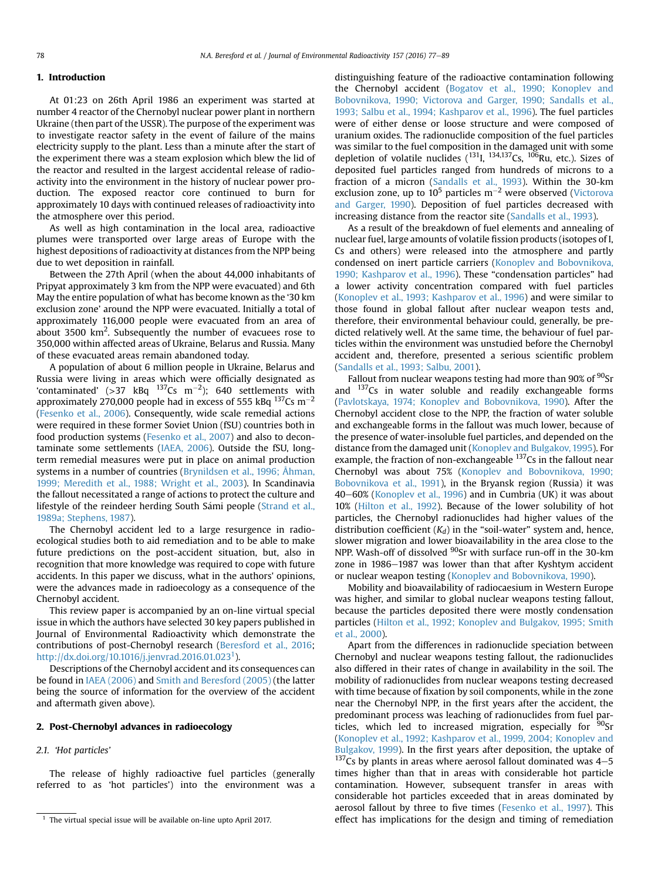# 1. Introduction

At 01:23 on 26th April 1986 an experiment was started at number 4 reactor of the Chernobyl nuclear power plant in northern Ukraine (then part of the USSR). The purpose of the experiment was to investigate reactor safety in the event of failure of the mains electricity supply to the plant. Less than a minute after the start of the experiment there was a steam explosion which blew the lid of the reactor and resulted in the largest accidental release of radioactivity into the environment in the history of nuclear power production. The exposed reactor core continued to burn for approximately 10 days with continued releases of radioactivity into the atmosphere over this period.

As well as high contamination in the local area, radioactive plumes were transported over large areas of Europe with the highest depositions of radioactivity at distances from the NPP being due to wet deposition in rainfall.

Between the 27th April (when the about 44,000 inhabitants of Pripyat approximately 3 km from the NPP were evacuated) and 6th May the entire population of what has become known as the '30 km exclusion zone' around the NPP were evacuated. Initially a total of approximately 116,000 people were evacuated from an area of about 3500  $\rm km^2$ . Subsequently the number of evacuees rose to 350,000 within affected areas of Ukraine, Belarus and Russia. Many of these evacuated areas remain abandoned today.

A population of about 6 million people in Ukraine, Belarus and Russia were living in areas which were officially designated as 'contaminated' (>37  $kBq$   $137Cs$   $m^{-2}$ ); 640 settlements with approximately 270,000 people had in excess of 555 kBq  $^{137}$ Cs m $^{-2}$ ([Fesenko et al., 2006\)](#page-10-0). Consequently, wide scale remedial actions were required in these former Soviet Union (fSU) countries both in food production systems [\(Fesenko et al., 2007\)](#page-10-0) and also to decontaminate some settlements [\(IAEA, 2006](#page-10-0)). Outside the fSU, longterm remedial measures were put in place on animal production systems in a number of countries [\(Brynildsen et al., 1996; Åhman,](#page-9-0) [1999; Meredith et al., 1988; Wright et al., 2003](#page-9-0)). In Scandinavia the fallout necessitated a range of actions to protect the culture and lifestyle of the reindeer herding South Sámi people ([Strand et al.,](#page-11-0) [1989a; Stephens, 1987](#page-11-0)).

The Chernobyl accident led to a large resurgence in radioecological studies both to aid remediation and to be able to make future predictions on the post-accident situation, but, also in recognition that more knowledge was required to cope with future accidents. In this paper we discuss, what in the authors' opinions, were the advances made in radioecology as a consequence of the Chernobyl accident.

This review paper is accompanied by an on-line virtual special issue in which the authors have selected 30 key papers published in Journal of Environmental Radioactivity which demonstrate the contributions of post-Chernobyl research [\(Beresford et al., 2016](#page-9-0); <http://dx.doi.org/10.1016/j.jenvrad.2016.01.023><sup>1</sup>).

Descriptions of the Chernobyl accident and its consequences can be found in [IAEA \(2006\)](#page-10-0) and [Smith and Beresford \(2005\)](#page-11-0) (the latter being the source of information for the overview of the accident and aftermath given above).

# 2. Post-Chernobyl advances in radioecology

2.1. 'Hot particles'

The release of highly radioactive fuel particles (generally referred to as 'hot particles') into the environment was a distinguishing feature of the radioactive contamination following the Chernobyl accident [\(Bogatov et al., 1990; Konoplev and](#page-9-0) [Bobovnikova, 1990; Victorova and Garger, 1990; Sandalls et al.,](#page-9-0) [1993; Salbu et al., 1994; Kashparov et al., 1996](#page-9-0)). The fuel particles were of either dense or loose structure and were composed of uranium oxides. The radionuclide composition of the fuel particles was similar to the fuel composition in the damaged unit with some depletion of volatile nuclides  $(^{131}I, ^{134,137}Cs, ^{106}Ru,$  etc.). Sizes of deposited fuel particles ranged from hundreds of microns to a fraction of a micron [\(Sandalls et al., 1993\)](#page-11-0). Within the 30-km exclusion zone, up to  $10^5$  particles m<sup>-2</sup> were observed [\(Victorova](#page-12-0) [and Garger, 1990](#page-12-0)). Deposition of fuel particles decreased with increasing distance from the reactor site [\(Sandalls et al., 1993](#page-11-0)).

As a result of the breakdown of fuel elements and annealing of nuclear fuel, large amounts of volatile fission products (isotopes of I, Cs and others) were released into the atmosphere and partly condensed on inert particle carriers [\(Konoplev and Bobovnikova,](#page-10-0) [1990; Kashparov et al., 1996](#page-10-0)). These "condensation particles" had a lower activity concentration compared with fuel particles ([Konoplev et al., 1993; Kashparov et al., 1996\)](#page-10-0) and were similar to those found in global fallout after nuclear weapon tests and, therefore, their environmental behaviour could, generally, be predicted relatively well. At the same time, the behaviour of fuel particles within the environment was unstudied before the Chernobyl accident and, therefore, presented a serious scientific problem ([Sandalls et al., 1993; Salbu, 2001](#page-11-0)).

Fallout from nuclear weapons testing had more than  $90\%$  of  $90$ Sr and  $137Cs$  in water soluble and readily exchangeable forms ([Pavlotskaya, 1974; Konoplev and Bobovnikova, 1990\)](#page-11-0). After the Chernobyl accident close to the NPP, the fraction of water soluble and exchangeable forms in the fallout was much lower, because of the presence of water-insoluble fuel particles, and depended on the distance from the damaged unit [\(Konoplev and Bulgakov, 1995](#page-10-0)). For example, the fraction of non-exchangeable <sup>137</sup>Cs in the fallout near Chernobyl was about 75% [\(Konoplev and Bobovnikova, 1990;](#page-10-0) [Bobovnikova et al., 1991](#page-10-0)), in the Bryansk region (Russia) it was 40–60% ([Konoplev et al., 1996\)](#page-10-0) and in Cumbria (UK) it was about 10% ([Hilton et al., 1992\)](#page-10-0). Because of the lower solubility of hot particles, the Chernobyl radionuclides had higher values of the distribution coefficient  $(K_d)$  in the "soil-water" system and, hence, slower migration and lower bioavailability in the area close to the NPP. Wash-off of dissolved <sup>90</sup>Sr with surface run-off in the 30-km zone in 1986-1987 was lower than that after Kyshtym accident or nuclear weapon testing ([Konoplev and Bobovnikova, 1990](#page-10-0)).

Mobility and bioavailability of radiocaesium in Western Europe was higher, and similar to global nuclear weapons testing fallout, because the particles deposited there were mostly condensation particles ([Hilton et al., 1992; Konoplev and Bulgakov, 1995; Smith](#page-10-0) [et al., 2000](#page-10-0)).

Apart from the differences in radionuclide speciation between Chernobyl and nuclear weapons testing fallout, the radionuclides also differed in their rates of change in availability in the soil. The mobility of radionuclides from nuclear weapons testing decreased with time because of fixation by soil components, while in the zone near the Chernobyl NPP, in the first years after the accident, the predominant process was leaching of radionuclides from fuel particles, which led to increased migration, especially for  $90$ Sr ([Konoplev et al., 1992; Kashparov et al., 1999, 2004; Konoplev and](#page-10-0) [Bulgakov, 1999\)](#page-10-0). In the first years after deposition, the uptake of  $137$ Cs by plants in areas where aerosol fallout dominated was  $4-5$ times higher than that in areas with considerable hot particle contamination. However, subsequent transfer in areas with considerable hot particles exceeded that in areas dominated by aerosol fallout by three to five times [\(Fesenko et al., 1997\)](#page-9-0). This <sup>1</sup> The virtual special issue will be available on-line upto April 2017. <br> **effect has implications for the design and timing of remediation**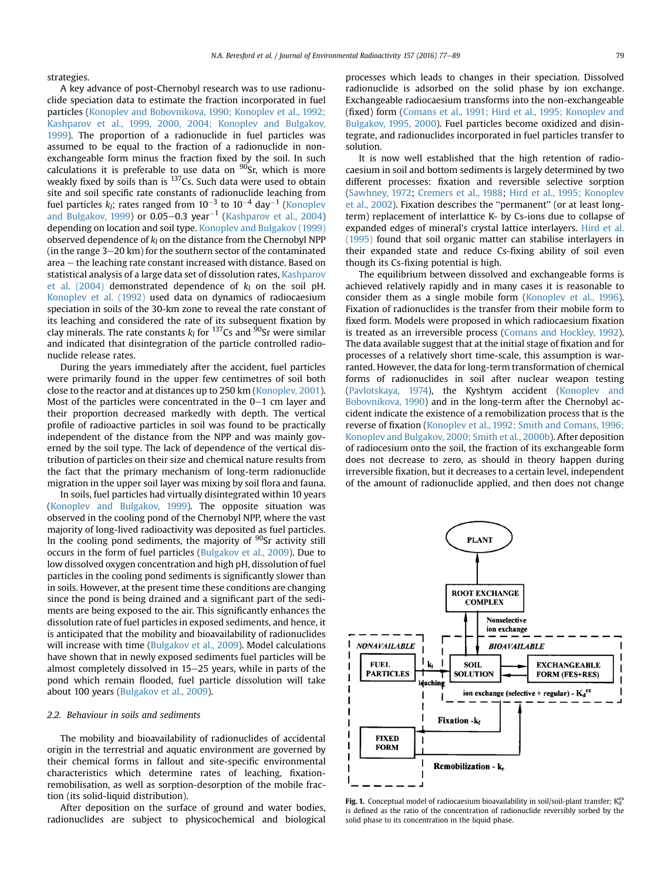<span id="page-2-0"></span>strategies.

A key advance of post-Chernobyl research was to use radionuclide speciation data to estimate the fraction incorporated in fuel particles [\(Konoplev and Bobovnikova, 1990; Konoplev et al., 1992;](#page-10-0) [Kashparov et al., 1999, 2000, 2004; Konoplev and Bulgakov,](#page-10-0) [1999\)](#page-10-0). The proportion of a radionuclide in fuel particles was assumed to be equal to the fraction of a radionuclide in nonexchangeable form minus the fraction fixed by the soil. In such calculations it is preferable to use data on  $90$ Sr, which is more weakly fixed by soils than is  $^{137}$ Cs. Such data were used to obtain site and soil specific rate constants of radionuclide leaching from fuel particles  $k_l$ ; rates ranged from  $10^{-3}$  to  $10^{-4}$  day $^{-1}$  ([Konoplev](#page-10-0) [and Bulgakov, 1999](#page-10-0)) or  $0.05-0.3$  year<sup>-1</sup> ([Kashparov et al., 2004\)](#page-10-0) depending on location and soil type. [Konoplev and Bulgakov \(1999\)](#page-10-0) observed dependence of  $k_l$  on the distance from the Chernobyl NPP (in the range  $3-20$  km) for the southern sector of the contaminated area – the leaching rate constant increased with distance. Based on statistical analysis of a large data set of dissolution rates, [Kashparov](#page-10-0) [et al. \(2004\)](#page-10-0) demonstrated dependence of  $k_l$  on the soil pH. [Konoplev et al. \(1992\)](#page-10-0) used data on dynamics of radiocaesium speciation in soils of the 30-km zone to reveal the rate constant of its leaching and considered the rate of its subsequent fixation by clay minerals. The rate constants  $k_l$  for <sup>137</sup>Cs and <sup>90</sup>Sr were similar and indicated that disintegration of the particle controlled radionuclide release rates.

During the years immediately after the accident, fuel particles were primarily found in the upper few centimetres of soil both close to the reactor and at distances up to 250 km ([Konoplev, 2001\)](#page-10-0). Most of the particles were concentrated in the  $0-1$  cm layer and their proportion decreased markedly with depth. The vertical profile of radioactive particles in soil was found to be practically independent of the distance from the NPP and was mainly governed by the soil type. The lack of dependence of the vertical distribution of particles on their size and chemical nature results from the fact that the primary mechanism of long-term radionuclide migration in the upper soil layer was mixing by soil flora and fauna.

In soils, fuel particles had virtually disintegrated within 10 years ([Konoplev and Bulgakov, 1999\)](#page-10-0). The opposite situation was observed in the cooling pond of the Chernobyl NPP, where the vast majority of long-lived radioactivity was deposited as fuel particles. In the cooling pond sediments, the majority of  $90$ Sr activity still occurs in the form of fuel particles ([Bulgakov et al., 2009\)](#page-9-0). Due to low dissolved oxygen concentration and high pH, dissolution of fuel particles in the cooling pond sediments is significantly slower than in soils. However, at the present time these conditions are changing since the pond is being drained and a significant part of the sediments are being exposed to the air. This significantly enhances the dissolution rate of fuel particles in exposed sediments, and hence, it is anticipated that the mobility and bioavailability of radionuclides will increase with time ([Bulgakov et al., 2009\)](#page-9-0). Model calculations have shown that in newly exposed sediments fuel particles will be almost completely dissolved in  $15-25$  years, while in parts of the pond which remain flooded, fuel particle dissolution will take about 100 years [\(Bulgakov et al., 2009](#page-9-0)).

# 2.2. Behaviour in soils and sediments

The mobility and bioavailability of radionuclides of accidental origin in the terrestrial and aquatic environment are governed by their chemical forms in fallout and site-specific environmental characteristics which determine rates of leaching, fixationremobilisation, as well as sorption-desorption of the mobile fraction (its solid-liquid distribution).

After deposition on the surface of ground and water bodies, radionuclides are subject to physicochemical and biological processes which leads to changes in their speciation. Dissolved radionuclide is adsorbed on the solid phase by ion exchange. Exchangeable radiocaesium transforms into the non-exchangeable (fixed) form [\(Comans et al., 1991; Hird et al., 1995; Konoplev and](#page-9-0) [Bulgakov, 1995, 2000](#page-9-0)). Fuel particles become oxidized and disintegrate, and radionuclides incorporated in fuel particles transfer to solution.

It is now well established that the high retention of radiocaesium in soil and bottom sediments is largely determined by two different processes: fixation and reversible selective sorption ([Sawhney, 1972;](#page-11-0) [Cremers et al., 1988](#page-9-0); [Hird et al., 1995; Konoplev](#page-10-0) [et al., 2002\)](#page-10-0). Fixation describes the ''permanent'' (or at least longterm) replacement of interlattice K- by Cs-ions due to collapse of expanded edges of mineral's crystal lattice interlayers. [Hird et al.](#page-10-0) [\(1995\)](#page-10-0) found that soil organic matter can stabilise interlayers in their expanded state and reduce Cs-fixing ability of soil even though its Cs-fixing potential is high.

The equilibrium between dissolved and exchangeable forms is achieved relatively rapidly and in many cases it is reasonable to consider them as a single mobile form [\(Konoplev et al., 1996\)](#page-10-0). Fixation of radionuclides is the transfer from their mobile form to fixed form. Models were proposed in which radiocaesium fixation is treated as an irreversible process ([Comans and Hockley, 1992\)](#page-9-0). The data available suggest that at the initial stage of fixation and for processes of a relatively short time-scale, this assumption is warranted. However, the data for long-term transformation of chemical forms of radionuclides in soil after nuclear weapon testing ([Pavlotskaya, 1974\)](#page-11-0), the Kyshtym accident ([Konoplev and](#page-10-0) [Bobovnikova, 1990\)](#page-10-0) and in the long-term after the Chernobyl accident indicate the existence of a remobilization process that is the reverse of fixation ([Konoplev et al., 1992; Smith and Comans, 1996;](#page-10-0) [Konoplev and Bulgakov, 2000; Smith et al., 2000b\)](#page-10-0). After deposition of radiocesium onto the soil, the fraction of its exchangeable form does not decrease to zero, as should in theory happen during irreversible fixation, but it decreases to a certain level, independent of the amount of radionuclide applied, and then does not change



Fig. 1. Conceptual model of radiocaesium bioavailability in soil/soil-plant transfer;  $K_d^{\text{ex}}$ is defined as the ratio of the concentration of radionuclide reversibly sorbed by the solid phase to its concentration in the liquid phase.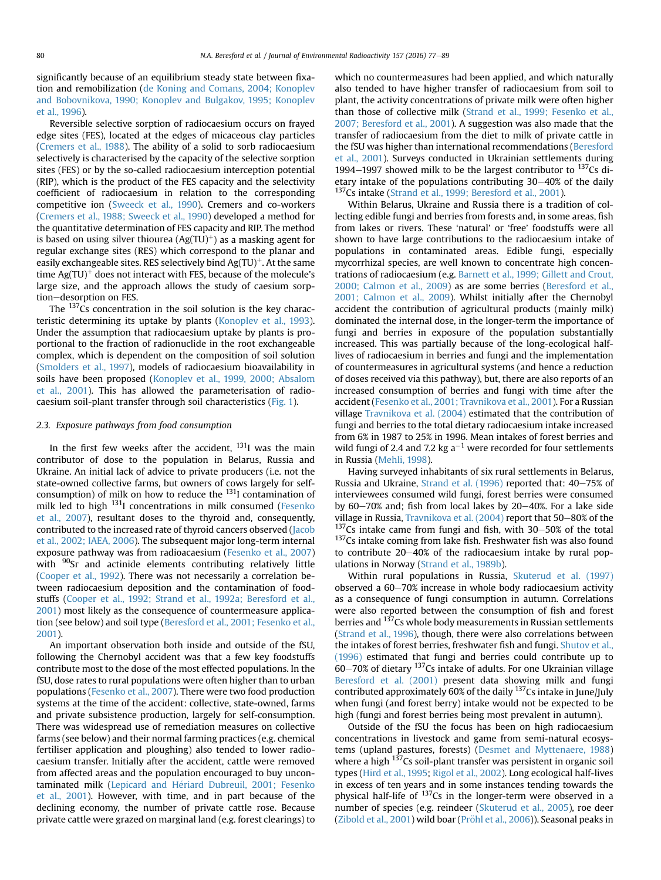significantly because of an equilibrium steady state between fixation and remobilization [\(de Koning and Comans, 2004; Konoplev](#page-9-0) [and Bobovnikova, 1990; Konoplev and Bulgakov, 1995; Konoplev](#page-9-0) [et al., 1996](#page-9-0)).

Reversible selective sorption of radiocaesium occurs on frayed edge sites (FES), located at the edges of micaceous clay particles ([Cremers et al., 1988](#page-9-0)). The ability of a solid to sorb radiocaesium selectively is characterised by the capacity of the selective sorption sites (FES) or by the so-called radiocaesium interception potential (RIP), which is the product of the FES capacity and the selectivity coefficient of radiocaesium in relation to the corresponding competitive ion [\(Sweeck et al., 1990\)](#page-12-0). Cremers and co-workers ([Cremers et al., 1988; Sweeck et al., 1990](#page-9-0)) developed a method for the quantitative determination of FES capacity and RIP. The method is based on using silver thiourea  $(Ag(TU)^+)$  as a masking agent for regular exchange sites (RES) which correspond to the planar and easily exchangeable sites. RES selectively bind  $Ag(TU)^{+}$ . At the same time  $Ag(TU)^+$  does not interact with FES, because of the molecule's large size, and the approach allows the study of caesium sorption-desorption on FES.

The  $137\hat{C}$ s concentration in the soil solution is the key characteristic determining its uptake by plants [\(Konoplev et al., 1993\)](#page-10-0). Under the assumption that radiocaesium uptake by plants is proportional to the fraction of radionuclide in the root exchangeable complex, which is dependent on the composition of soil solution ([Smolders et al., 1997\)](#page-11-0), models of radiocaesium bioavailability in soils have been proposed ([Konoplev et al., 1999, 2000; Absalom](#page-10-0) [et al., 2001](#page-10-0)). This has allowed the parameterisation of radiocaesium soil-plant transfer through soil characteristics ([Fig. 1](#page-2-0)).

## 2.3. Exposure pathways from food consumption

In the first few weeks after the accident,  $^{131}$ I was the main contributor of dose to the population in Belarus, Russia and Ukraine. An initial lack of advice to private producers (i.e. not the state-owned collective farms, but owners of cows largely for selfconsumption) of milk on how to reduce the  $131$ <sup>I</sup>I contamination of milk led to high <sup>131</sup>I concentrations in milk consumed [\(Fesenko](#page-10-0) [et al., 2007](#page-10-0)), resultant doses to the thyroid and, consequently, contributed to the increased rate of thyroid cancers observed ([Jacob](#page-10-0) [et al., 2002; IAEA, 2006\)](#page-10-0). The subsequent major long-term internal exposure pathway was from radioacaesium ([Fesenko et al., 2007\)](#page-10-0) with <sup>90</sup>Sr and actinide elements contributing relatively little ([Cooper et al., 1992](#page-9-0)). There was not necessarily a correlation between radiocaesium deposition and the contamination of foodstuffs [\(Cooper et al., 1992; Strand et al., 1992a; Beresford et al.,](#page-9-0) [2001\)](#page-9-0) most likely as the consequence of countermeasure application (see below) and soil type [\(Beresford et al., 2001; Fesenko et al.,](#page-9-0) [2001\)](#page-9-0).

An important observation both inside and outside of the fSU, following the Chernobyl accident was that a few key foodstuffs contribute most to the dose of the most effected populations. In the fSU, dose rates to rural populations were often higher than to urban populations ([Fesenko et al., 2007\)](#page-10-0). There were two food production systems at the time of the accident: collective, state-owned, farms and private subsistence production, largely for self-consumption. There was widespread use of remediation measures on collective farms (see below) and their normal farming practices (e.g. chemical fertiliser application and ploughing) also tended to lower radiocaesium transfer. Initially after the accident, cattle were removed from affected areas and the population encouraged to buy uncontaminated milk (Lepicard and Hériard Dubreuil, 2001; Fesenko [et al., 2001\)](#page-11-0). However, with time, and in part because of the declining economy, the number of private cattle rose. Because private cattle were grazed on marginal land (e.g. forest clearings) to which no countermeasures had been applied, and which naturally also tended to have higher transfer of radiocaesium from soil to plant, the activity concentrations of private milk were often higher than those of collective milk [\(Strand et al., 1999; Fesenko et al.,](#page-12-0) [2007; Beresford et al., 2001](#page-12-0)). A suggestion was also made that the transfer of radiocaesium from the diet to milk of private cattle in the fSU was higher than international recommendations ([Beresford](#page-9-0) [et al., 2001](#page-9-0)). Surveys conducted in Ukrainian settlements during 1994–1997 showed milk to be the largest contributor to  $137Cs$  dietary intake of the populations contributing  $30-40\%$  of the daily 137Cs intake ([Strand et al., 1999; Beresford et al., 2001](#page-12-0)).

Within Belarus, Ukraine and Russia there is a tradition of collecting edible fungi and berries from forests and, in some areas, fish from lakes or rivers. These 'natural' or 'free' foodstuffs were all shown to have large contributions to the radiocaesium intake of populations in contaminated areas. Edible fungi, especially mycorrhizal species, are well known to concentrate high concentrations of radiocaesium (e.g. [Barnett et al., 1999; Gillett and Crout,](#page-9-0) [2000; Calmon et al., 2009](#page-9-0)) as are some berries [\(Beresford et al.,](#page-9-0) [2001; Calmon et al., 2009\)](#page-9-0). Whilst initially after the Chernobyl accident the contribution of agricultural products (mainly milk) dominated the internal dose, in the longer-term the importance of fungi and berries in exposure of the population substantially increased. This was partially because of the long-ecological halflives of radiocaesium in berries and fungi and the implementation of countermeasures in agricultural systems (and hence a reduction of doses received via this pathway), but, there are also reports of an increased consumption of berries and fungi with time after the accident [\(Fesenko et al., 2001; Travnikova et al., 2001\)](#page-10-0). For a Russian village [Travnikova et al. \(2004\)](#page-12-0) estimated that the contribution of fungi and berries to the total dietary radiocaesium intake increased from 6% in 1987 to 25% in 1996. Mean intakes of forest berries and wild fungi of 2.4 and 7.2 kg  $a^{-1}$  were recorded for four settlements in Russia [\(Mehli, 1998](#page-11-0)).

Having surveyed inhabitants of six rural settlements in Belarus, Russia and Ukraine, Strand et al.  $(1996)$  reported that:  $40-75\%$  of interviewees consumed wild fungi, forest berries were consumed by  $60-70\%$  and; fish from local lakes by  $20-40\%$ . For a lake side village in Russia, [Travnikova et al. \(2004\)](#page-12-0) report that 50-80% of the  $137$ Cs intake came from fungi and fish, with 30-50% of the total <sup>137</sup>Cs intake coming from lake fish. Freshwater fish was also found to contribute  $20-40%$  of the radiocaesium intake by rural populations in Norway [\(Strand et al., 1989b\)](#page-12-0).

Within rural populations in Russia, [Skuterud et al. \(1997\)](#page-11-0) observed a 60-70% increase in whole body radiocaesium activity as a consequence of fungi consumption in autumn. Correlations were also reported between the consumption of fish and forest berries and <sup>137</sup>Cs whole body measurements in Russian settlements ([Strand et al., 1996\)](#page-12-0), though, there were also correlations between the intakes of forest berries, freshwater fish and fungi. [Shutov et al.,](#page-11-0) [\(1996\)](#page-11-0) estimated that fungi and berries could contribute up to 60–70% of dietary <sup>137</sup>Cs intake of adults. For one Ukrainian village [Beresford et al. \(2001\)](#page-9-0) present data showing milk and fungi contributed approximately 60% of the daily <sup>137</sup>Cs intake in June/July when fungi (and forest berry) intake would not be expected to be high (fungi and forest berries being most prevalent in autumn).

Outside of the fSU the focus has been on high radiocaesium concentrations in livestock and game from semi-natural ecosystems (upland pastures, forests) [\(Desmet and Myttenaere, 1988\)](#page-9-0) where a high <sup>137</sup>Cs soil-plant transfer was persistent in organic soil types [\(Hird et al., 1995](#page-10-0); [Rigol et al., 2002\)](#page-11-0). Long ecological half-lives in excess of ten years and in some instances tending towards the physical half-life of 137Cs in the longer-term were observed in a number of species (e.g. reindeer [\(Skuterud et al., 2005\)](#page-11-0), roe deer ([Zibold et al., 2001\)](#page-12-0) wild boar (Pröhl et al., 2006)). Seasonal peaks in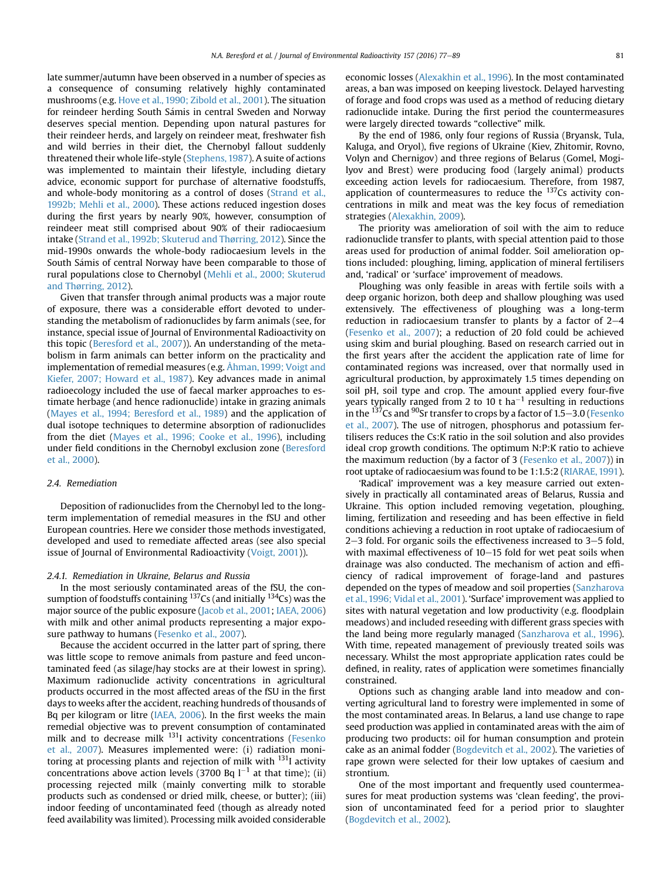late summer/autumn have been observed in a number of species as a consequence of consuming relatively highly contaminated mushrooms (e.g. [Hove et al., 1990; Zibold et al., 2001\)](#page-10-0). The situation for reindeer herding South Samis in central Sweden and Norway deserves special mention. Depending upon natural pastures for their reindeer herds, and largely on reindeer meat, freshwater fish and wild berries in their diet, the Chernobyl fallout suddenly threatened their whole life-style [\(Stephens, 1987\)](#page-11-0). A suite of actions was implemented to maintain their lifestyle, including dietary advice, economic support for purchase of alternative foodstuffs, and whole-body monitoring as a control of doses [\(Strand et al.,](#page-12-0) [1992b; Mehli et al., 2000](#page-12-0)). These actions reduced ingestion doses during the first years by nearly 90%, however, consumption of reindeer meat still comprised about 90% of their radiocaesium intake ([Strand et al., 1992b; Skuterud and Thørring, 2012\)](#page-12-0). Since the mid-1990s onwards the whole-body radiocaesium levels in the South Samis of central Norway have been comparable to those of rural populations close to Chernobyl ([Mehli et al., 2000; Skuterud](#page-11-0) [and Thørring, 2012\)](#page-11-0).

Given that transfer through animal products was a major route of exposure, there was a considerable effort devoted to understanding the metabolism of radionuclides by farm animals (see, for instance, special issue of Journal of Environmental Radioactivity on this topic ([Beresford et al., 2007\)](#page-9-0)). An understanding of the metabolism in farm animals can better inform on the practicality and implementation of remedial measures (e.g. [Åhman, 1999; Voigt and](#page-9-0) [Kiefer, 2007; Howard et al., 1987](#page-9-0)). Key advances made in animal radioecology included the use of faecal marker approaches to estimate herbage (and hence radionuclide) intake in grazing animals ([Mayes et al., 1994; Beresford et al., 1989\)](#page-11-0) and the application of dual isotope techniques to determine absorption of radionuclides from the diet [\(Mayes et al., 1996; Cooke et al., 1996](#page-11-0)), including under field conditions in the Chernobyl exclusion zone ([Beresford](#page-9-0) [et al., 2000\)](#page-9-0).

#### 2.4. Remediation

Deposition of radionuclides from the Chernobyl led to the longterm implementation of remedial measures in the fSU and other European countries. Here we consider those methods investigated, developed and used to remediate affected areas (see also special issue of Journal of Environmental Radioactivity [\(Voigt, 2001\)](#page-12-0)).

#### 2.4.1. Remediation in Ukraine, Belarus and Russia

In the most seriously contaminated areas of the fSU, the consumption of foodstuffs containing  $137$ Cs (and initially  $134$ Cs) was the major source of the public exposure ([Jacob et al., 2001](#page-10-0); [IAEA, 2006\)](#page-10-0) with milk and other animal products representing a major exposure pathway to humans [\(Fesenko et al., 2007](#page-10-0)).

Because the accident occurred in the latter part of spring, there was little scope to remove animals from pasture and feed uncontaminated feed (as silage/hay stocks are at their lowest in spring). Maximum radionuclide activity concentrations in agricultural products occurred in the most affected areas of the fSU in the first days to weeks after the accident, reaching hundreds of thousands of Bq per kilogram or litre [\(IAEA, 2006](#page-10-0)). In the first weeks the main remedial objective was to prevent consumption of contaminated milk and to decrease milk <sup>131</sup>I activity concentrations [\(Fesenko](#page-10-0) [et al., 2007](#page-10-0)). Measures implemented were: (i) radiation monitoring at processing plants and rejection of milk with  $131$  activity concentrations above action levels (3700 Bq  $l^{-1}$  at that time); (ii) processing rejected milk (mainly converting milk to storable products such as condensed or dried milk, cheese, or butter); (iii) indoor feeding of uncontaminated feed (though as already noted feed availability was limited). Processing milk avoided considerable economic losses ([Alexakhin et al., 1996\)](#page-9-0). In the most contaminated areas, a ban was imposed on keeping livestock. Delayed harvesting of forage and food crops was used as a method of reducing dietary radionuclide intake. During the first period the countermeasures were largely directed towards "collective" milk.

By the end of 1986, only four regions of Russia (Bryansk, Tula, Kaluga, and Oryol), five regions of Ukraine (Kiev, Zhitomir, Rovno, Volyn and Chernigov) and three regions of Belarus (Gomel, Mogilyov and Brest) were producing food (largely animal) products exceeding action levels for radiocaesium. Therefore, from 1987, application of countermeasures to reduce the  $137$ Cs activity concentrations in milk and meat was the key focus of remediation strategies [\(Alexakhin, 2009\)](#page-9-0).

The priority was amelioration of soil with the aim to reduce radionuclide transfer to plants, with special attention paid to those areas used for production of animal fodder. Soil amelioration options included: ploughing, liming, application of mineral fertilisers and, 'radical' or 'surface' improvement of meadows.

Ploughing was only feasible in areas with fertile soils with a deep organic horizon, both deep and shallow ploughing was used extensively. The effectiveness of ploughing was a long-term reduction in radiocaesium transfer to plants by a factor of  $2-4$ ([Fesenko et al., 2007\)](#page-10-0); a reduction of 20 fold could be achieved using skim and burial ploughing. Based on research carried out in the first years after the accident the application rate of lime for contaminated regions was increased, over that normally used in agricultural production, by approximately 1.5 times depending on soil pH, soil type and crop. The amount applied every four-five years typically ranged from 2 to 10 t ha<sup>-1</sup> resulting in reductions in the  $^{137}$ Cs and  $^{90}$ Sr transfer to crops by a factor of 1.5–3.0 [\(Fesenko](#page-10-0) [et al., 2007](#page-10-0)). The use of nitrogen, phosphorus and potassium fertilisers reduces the Cs:K ratio in the soil solution and also provides ideal crop growth conditions. The optimum N:P:K ratio to achieve the maximum reduction (by a factor of 3 ([Fesenko et al., 2007\)](#page-10-0)) in root uptake of radiocaesium was found to be 1:1.5:2 [\(RIARAE, 1991\)](#page-11-0).

'Radical' improvement was a key measure carried out extensively in practically all contaminated areas of Belarus, Russia and Ukraine. This option included removing vegetation, ploughing, liming, fertilization and reseeding and has been effective in field conditions achieving a reduction in root uptake of radiocaesium of  $2-3$  fold. For organic soils the effectiveness increased to  $3-5$  fold, with maximal effectiveness of  $10-15$  fold for wet peat soils when drainage was also conducted. The mechanism of action and efficiency of radical improvement of forage-land and pastures depended on the types of meadow and soil properties [\(Sanzharova](#page-11-0) [et al., 1996; Vidal et al., 2001](#page-11-0)). 'Surface' improvement was applied to sites with natural vegetation and low productivity (e.g. floodplain meadows) and included reseeding with different grass species with the land being more regularly managed [\(Sanzharova et al., 1996\)](#page-11-0). With time, repeated management of previously treated soils was necessary. Whilst the most appropriate application rates could be defined, in reality, rates of application were sometimes financially constrained.

Options such as changing arable land into meadow and converting agricultural land to forestry were implemented in some of the most contaminated areas. In Belarus, a land use change to rape seed production was applied in contaminated areas with the aim of producing two products: oil for human consumption and protein cake as an animal fodder [\(Bogdevitch et al., 2002](#page-9-0)). The varieties of rape grown were selected for their low uptakes of caesium and strontium.

One of the most important and frequently used countermeasures for meat production systems was 'clean feeding', the provision of uncontaminated feed for a period prior to slaughter ([Bogdevitch et al., 2002](#page-9-0)).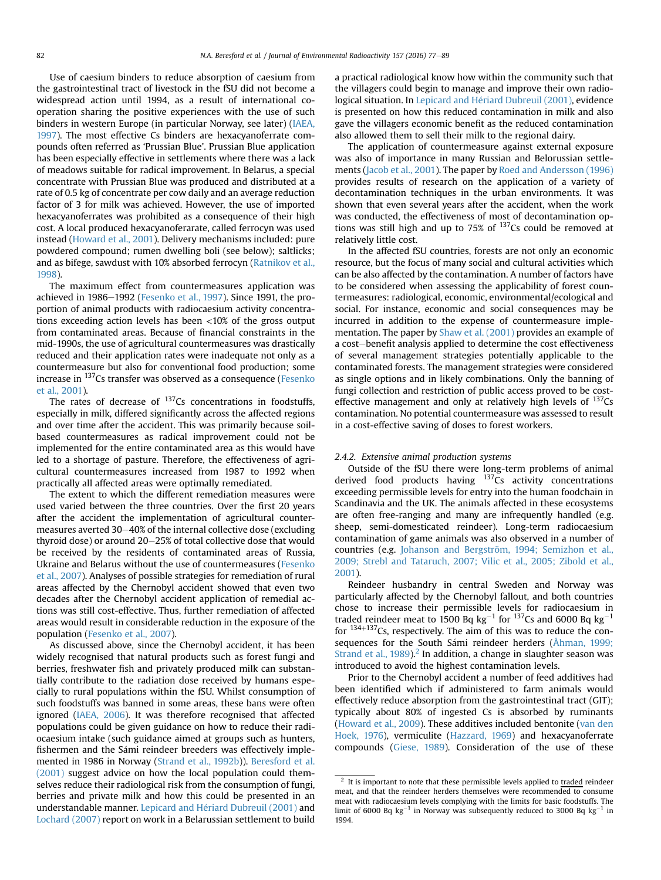Use of caesium binders to reduce absorption of caesium from the gastrointestinal tract of livestock in the fSU did not become a widespread action until 1994, as a result of international cooperation sharing the positive experiences with the use of such binders in western Europe (in particular Norway, see later) ([IAEA,](#page-10-0) [1997](#page-10-0)). The most effective Cs binders are hexacyanoferrate compounds often referred as 'Prussian Blue'. Prussian Blue application has been especially effective in settlements where there was a lack of meadows suitable for radical improvement. In Belarus, a special concentrate with Prussian Blue was produced and distributed at a rate of 0.5 kg of concentrate per cow daily and an average reduction factor of 3 for milk was achieved. However, the use of imported hexacyanoferrates was prohibited as a consequence of their high cost. A local produced hexacyanoferarate, called ferrocyn was used instead [\(Howard et al., 2001\)](#page-10-0). Delivery mechanisms included: pure powdered compound; rumen dwelling boli (see below); saltlicks; and as bifege, sawdust with 10% absorbed ferrocyn ([Ratnikov et al.,](#page-11-0) [1998](#page-11-0)).

The maximum effect from countermeasures application was achieved in 1986-1992 [\(Fesenko et al., 1997\)](#page-9-0). Since 1991, the proportion of animal products with radiocaesium activity concentrations exceeding action levels has been <10% of the gross output from contaminated areas. Because of financial constraints in the mid-1990s, the use of agricultural countermeasures was drastically reduced and their application rates were inadequate not only as a countermeasure but also for conventional food production; some increase in 137Cs transfer was observed as a consequence [\(Fesenko](#page-10-0) [et al., 2001](#page-10-0)).

The rates of decrease of  $137Cs$  concentrations in foodstuffs. especially in milk, differed significantly across the affected regions and over time after the accident. This was primarily because soilbased countermeasures as radical improvement could not be implemented for the entire contaminated area as this would have led to a shortage of pasture. Therefore, the effectiveness of agricultural countermeasures increased from 1987 to 1992 when practically all affected areas were optimally remediated.

The extent to which the different remediation measures were used varied between the three countries. Over the first 20 years after the accident the implementation of agricultural countermeasures averted 30-40% of the internal collective dose (excluding thyroid dose) or around  $20-25%$  of total collective dose that would be received by the residents of contaminated areas of Russia, Ukraine and Belarus without the use of countermeasures [\(Fesenko](#page-10-0) [et al., 2007\)](#page-10-0). Analyses of possible strategies for remediation of rural areas affected by the Chernobyl accident showed that even two decades after the Chernobyl accident application of remedial actions was still cost-effective. Thus, further remediation of affected areas would result in considerable reduction in the exposure of the population [\(Fesenko et al., 2007](#page-10-0)).

As discussed above, since the Chernobyl accident, it has been widely recognised that natural products such as forest fungi and berries, freshwater fish and privately produced milk can substantially contribute to the radiation dose received by humans especially to rural populations within the fSU. Whilst consumption of such foodstuffs was banned in some areas, these bans were often ignored [\(IAEA, 2006\)](#page-10-0). It was therefore recognised that affected populations could be given guidance on how to reduce their radiocaesium intake (such guidance aimed at groups such as hunters, fishermen and the Sámi reindeer breeders was effectively implemented in 1986 in Norway ([Strand et al., 1992b\)](#page-12-0)). [Beresford et al.](#page-9-0) [\(2001\)](#page-9-0) suggest advice on how the local population could themselves reduce their radiological risk from the consumption of fungi, berries and private milk and how this could be presented in an understandable manner. [Lepicard and H](#page-11-0)e[riard Dubreuil \(2001\)](#page-11-0) and [Lochard \(2007\)](#page-11-0) report on work in a Belarussian settlement to build a practical radiological know how within the community such that the villagers could begin to manage and improve their own radiological situation. In Lepicard and Hériard Dubreuil (2001), evidence is presented on how this reduced contamination in milk and also gave the villagers economic benefit as the reduced contamination also allowed them to sell their milk to the regional dairy.

The application of countermeasure against external exposure was also of importance in many Russian and Belorussian settlements [\(Jacob et al., 2001\)](#page-10-0). The paper by [Roed and Andersson \(1996\)](#page-11-0) provides results of research on the application of a variety of decontamination techniques in the urban environments. It was shown that even several years after the accident, when the work was conducted, the effectiveness of most of decontamination options was still high and up to 75% of  $137Cs$  could be removed at relatively little cost.

In the affected fSU countries, forests are not only an economic resource, but the focus of many social and cultural activities which can be also affected by the contamination. A number of factors have to be considered when assessing the applicability of forest countermeasures: radiological, economic, environmental/ecological and social. For instance, economic and social consequences may be incurred in addition to the expense of countermeasure implementation. The paper by [Shaw et al. \(2001\)](#page-11-0) provides an example of a cost-benefit analysis applied to determine the cost effectiveness of several management strategies potentially applicable to the contaminated forests. The management strategies were considered as single options and in likely combinations. Only the banning of fungi collection and restriction of public access proved to be costeffective management and only at relatively high levels of  $137Cs$ contamination. No potential countermeasure was assessed to result in a cost-effective saving of doses to forest workers.

# 2.4.2. Extensive animal production systems

Outside of the fSU there were long-term problems of animal derived food products having  $137\overline{\text{Cs}}$  activity concentrations exceeding permissible levels for entry into the human foodchain in Scandinavia and the UK. The animals affected in these ecosystems are often free-ranging and many are infrequently handled (e.g. sheep, semi-domesticated reindeer). Long-term radiocaesium contamination of game animals was also observed in a number of countries (e.g. Johanson and Bergström, 1994; Semizhon et al., [2009; Strebl and Tataruch, 2007; Vilic et al., 2005; Zibold et al.,](#page-10-0) [2001\)](#page-10-0).

Reindeer husbandry in central Sweden and Norway was particularly affected by the Chernobyl fallout, and both countries chose to increase their permissible levels for radiocaesium in traded reindeer meat to 1500 Bq  $\text{kg}^{-1}$  for  $^{137}\text{Cs}$  and 6000 Bq  $\text{kg}^{-1}$ for  $134+137Cs$ , respectively. The aim of this was to reduce the con-sequences for the South Sámi reindeer herders ([Åhman, 1999;](#page-9-0) Strand et al.,  $1989$ ).<sup>2</sup> In addition, a change in slaughter season was introduced to avoid the highest contamination levels.

Prior to the Chernobyl accident a number of feed additives had been identified which if administered to farm animals would effectively reduce absorption from the gastrointestinal tract (GIT); typically about 80% of ingested Cs is absorbed by ruminants ([Howard et al., 2009\)](#page-10-0). These additives included bentonite ([van den](#page-12-0) [Hoek, 1976](#page-12-0)), vermiculite ([Hazzard, 1969](#page-10-0)) and hexacyanoferrate compounds ([Giese, 1989\)](#page-10-0). Consideration of the use of these

 $2$  It is important to note that these permissible levels applied to traded reindeer meat, and that the reindeer herders themselves were recommended to consume meat with radiocaesium levels complying with the limits for basic foodstuffs. The limit of 6000 Bq  $kg^{-1}$  in Norway was subsequently reduced to 3000 Bq  $kg^{-1}$  in 1994.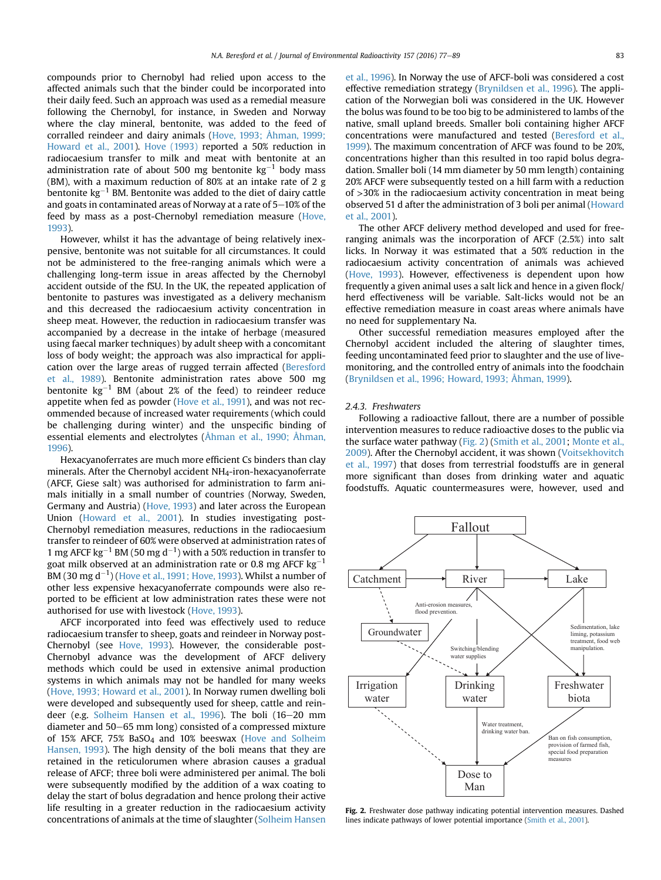compounds prior to Chernobyl had relied upon access to the affected animals such that the binder could be incorporated into their daily feed. Such an approach was used as a remedial measure following the Chernobyl, for instance, in Sweden and Norway where the clay mineral, bentonite, was added to the feed of corralled reindeer and dairy animals [\(Hove, 1993; Åhman, 1999;](#page-10-0) [Howard et al., 2001](#page-10-0)). [Hove \(1993\)](#page-10-0) reported a 50% reduction in radiocaesium transfer to milk and meat with bentonite at an administration rate of about 500 mg bentonite  $\text{kg}^{-1}$  body mass (BM), with a maximum reduction of 80% at an intake rate of 2 g bentonite  $\text{kg}^{-1}$  BM. Bentonite was added to the diet of dairy cattle and goats in contaminated areas of Norway at a rate of  $5-10\%$  of the feed by mass as a post-Chernobyl remediation measure [\(Hove,](#page-10-0) [1993\)](#page-10-0).

However, whilst it has the advantage of being relatively inexpensive, bentonite was not suitable for all circumstances. It could not be administered to the free-ranging animals which were a challenging long-term issue in areas affected by the Chernobyl accident outside of the fSU. In the UK, the repeated application of bentonite to pastures was investigated as a delivery mechanism and this decreased the radiocaesium activity concentration in sheep meat. However, the reduction in radiocaesium transfer was accompanied by a decrease in the intake of herbage (measured using faecal marker techniques) by adult sheep with a concomitant loss of body weight; the approach was also impractical for application over the large areas of rugged terrain affected ([Beresford](#page-9-0) [et al., 1989\)](#page-9-0). Bentonite administration rates above 500 mg bentonite  $kg^{-1}$  BM (about 2% of the feed) to reindeer reduce appetite when fed as powder ([Hove et al., 1991](#page-10-0)), and was not recommended because of increased water requirements (which could be challenging during winter) and the unspecific binding of essential elements and electrolytes ([Åhman et al., 1990; Åhman,](#page-9-0) [1996\)](#page-9-0).

Hexacyanoferrates are much more efficient Cs binders than clay minerals. After the Chernobyl accident NH4-iron-hexacyanoferrate (AFCF, Giese salt) was authorised for administration to farm animals initially in a small number of countries (Norway, Sweden, Germany and Austria) [\(Hove, 1993\)](#page-10-0) and later across the European Union ([Howard et al., 2001\)](#page-10-0). In studies investigating post-Chernobyl remediation measures, reductions in the radiocaesium transfer to reindeer of 60% were observed at administration rates of 1 mg AFCF kg<sup>-1</sup> BM (50 mg d<sup>-1</sup>) with a 50% reduction in transfer to goat milk observed at an administration rate or 0.8 mg AFCF kg $^{\rm -1}$ BM (30 mg d $^{-1}$ ) [\(Hove et al., 1991; Hove, 1993](#page-10-0)). Whilst a number of other less expensive hexacyanoferrate compounds were also reported to be efficient at low administration rates these were not authorised for use with livestock [\(Hove, 1993](#page-10-0)).

AFCF incorporated into feed was effectively used to reduce radiocaesium transfer to sheep, goats and reindeer in Norway post-Chernobyl (see [Hove, 1993\)](#page-10-0). However, the considerable post-Chernobyl advance was the development of AFCF delivery methods which could be used in extensive animal production systems in which animals may not be handled for many weeks ([Hove, 1993; Howard et al., 2001\)](#page-10-0). In Norway rumen dwelling boli were developed and subsequently used for sheep, cattle and rein-deer (e.g. [Solheim Hansen et al., 1996](#page-11-0)). The boli (16-20 mm diameter and 50–65 mm long) consisted of a compressed mixture of 15% AFCF, 75% BaSO4 and 10% beeswax ([Hove and Solheim](#page-10-0) [Hansen, 1993\)](#page-10-0). The high density of the boli means that they are retained in the reticulorumen where abrasion causes a gradual release of AFCF; three boli were administered per animal. The boli were subsequently modified by the addition of a wax coating to delay the start of bolus degradation and hence prolong their active life resulting in a greater reduction in the radiocaesium activity concentrations of animals at the time of slaughter ([Solheim Hansen](#page-11-0) [et al., 1996](#page-11-0)). In Norway the use of AFCF-boli was considered a cost effective remediation strategy [\(Brynildsen et al., 1996\)](#page-9-0). The application of the Norwegian boli was considered in the UK. However the bolus was found to be too big to be administered to lambs of the native, small upland breeds. Smaller boli containing higher AFCF concentrations were manufactured and tested [\(Beresford et al.,](#page-9-0) [1999\)](#page-9-0). The maximum concentration of AFCF was found to be 20%, concentrations higher than this resulted in too rapid bolus degradation. Smaller boli (14 mm diameter by 50 mm length) containing 20% AFCF were subsequently tested on a hill farm with a reduction of >30% in the radiocaesium activity concentration in meat being observed 51 d after the administration of 3 boli per animal ([Howard](#page-10-0) [et al., 2001](#page-10-0)).

The other AFCF delivery method developed and used for freeranging animals was the incorporation of AFCF (2.5%) into salt licks. In Norway it was estimated that a 50% reduction in the radiocaesium activity concentration of animals was achieved ([Hove, 1993\)](#page-10-0). However, effectiveness is dependent upon how frequently a given animal uses a salt lick and hence in a given flock/ herd effectiveness will be variable. Salt-licks would not be an effective remediation measure in coast areas where animals have no need for supplementary Na.

Other successful remediation measures employed after the Chernobyl accident included the altering of slaughter times, feeding uncontaminated feed prior to slaughter and the use of livemonitoring, and the controlled entry of animals into the foodchain ([Brynildsen et al., 1996; Howard, 1993; Åhman, 1999](#page-9-0)).

#### 2.4.3. Freshwaters

Following a radioactive fallout, there are a number of possible intervention measures to reduce radioactive doses to the public via the surface water pathway (Fig. 2) [\(Smith et al., 2001;](#page-11-0) [Monte et al.,](#page-11-0) [2009\)](#page-11-0). After the Chernobyl accident, it was shown [\(Voitsekhovitch](#page-12-0) [et al., 1997](#page-12-0)) that doses from terrestrial foodstuffs are in general more significant than doses from drinking water and aquatic foodstuffs. Aquatic countermeasures were, however, used and



Fig. 2. Freshwater dose pathway indicating potential intervention measures. Dashed lines indicate pathways of lower potential importance [\(Smith et al., 2001](#page-11-0)).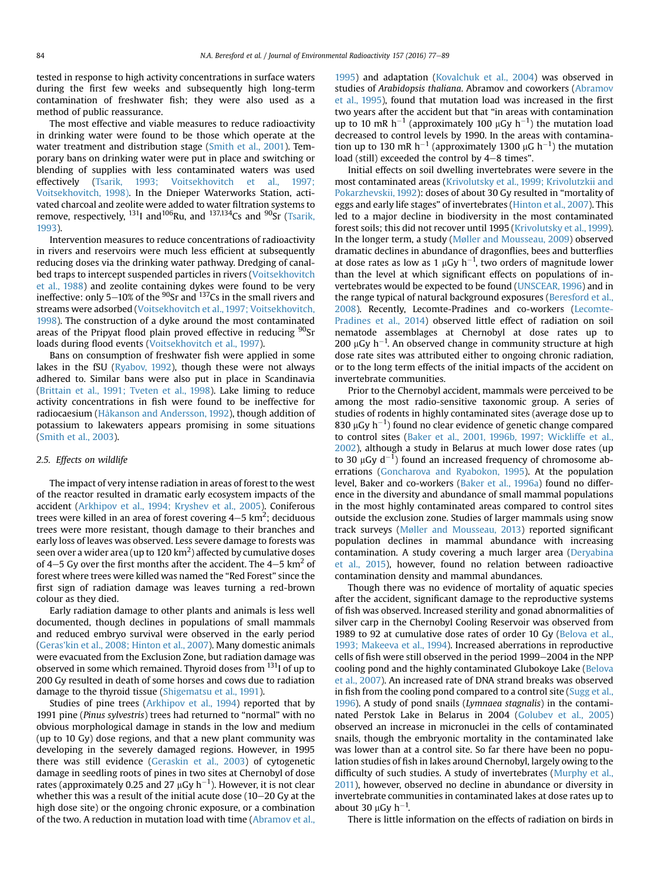tested in response to high activity concentrations in surface waters during the first few weeks and subsequently high long-term contamination of freshwater fish; they were also used as a method of public reassurance.

The most effective and viable measures to reduce radioactivity in drinking water were found to be those which operate at the water treatment and distribution stage ([Smith et al., 2001\)](#page-11-0). Temporary bans on drinking water were put in place and switching or blending of supplies with less contaminated waters was used effectively [\(Tsarik, 1993; Voitsekhovitch et al., 1997;](#page-12-0) [Voitsekhovitch, 1998\)](#page-12-0). In the Dnieper Waterworks Station, activated charcoal and zeolite were added to water filtration systems to remove, respectively,  $^{131}$ I and  $^{106}$ Ru, and  $^{137,134}$ Cs and  $^{90}$ Sr [\(Tsarik,](#page-12-0) [1993](#page-12-0)).

Intervention measures to reduce concentrations of radioactivity in rivers and reservoirs were much less efficient at subsequently reducing doses via the drinking water pathway. Dredging of canalbed traps to intercept suspended particles in rivers ([Voitsekhovitch](#page-12-0) [et al., 1988](#page-12-0)) and zeolite containing dykes were found to be very ineffective: only 5-10% of the  $90$ Sr and  $137$ Cs in the small rivers and streams were adsorbed [\(Voitsekhovitch et al., 1997; Voitsekhovitch,](#page-12-0) [1998](#page-12-0)). The construction of a dyke around the most contaminated areas of the Pripyat flood plain proved effective in reducing <sup>90</sup>Sr loads during flood events ([Voitsekhovitch et al., 1997\)](#page-12-0).

Bans on consumption of freshwater fish were applied in some lakes in the fSU ([Ryabov, 1992](#page-11-0)), though these were not always adhered to. Similar bans were also put in place in Scandinavia ([Brittain et al., 1991; Tveten et al., 1998](#page-9-0)). Lake liming to reduce activity concentrations in fish were found to be ineffective for radiocaesium [\(Håkanson and Andersson, 1992](#page-10-0)), though addition of potassium to lakewaters appears promising in some situations ([Smith et al., 2003\)](#page-11-0).

## 2.5. Effects on wildlife

The impact of very intense radiation in areas of forest to the west of the reactor resulted in dramatic early ecosystem impacts of the accident ([Arkhipov et al., 1994; Kryshev et al., 2005](#page-9-0)). Coniferous trees were killed in an area of forest covering 4–5 km<sup>2</sup>; deciduous trees were more resistant, though damage to their branches and early loss of leaves was observed. Less severe damage to forests was seen over a wider area (up to 120 km $^2$ ) affected by cumulative doses of 4–5 Gy over the first months after the accident. The 4–5  $km<sup>2</sup>$  of forest where trees were killed was named the "Red Forest" since the first sign of radiation damage was leaves turning a red-brown colour as they died.

Early radiation damage to other plants and animals is less well documented, though declines in populations of small mammals and reduced embryo survival were observed in the early period ([Geras'kin et al., 2008; Hinton et al., 2007\)](#page-10-0). Many domestic animals were evacuated from the Exclusion Zone, but radiation damage was observed in some which remained. Thyroid doses from <sup>131</sup>I of up to 200 Gy resulted in death of some horses and cows due to radiation damage to the thyroid tissue [\(Shigematsu et al., 1991\)](#page-11-0).

Studies of pine trees ([Arkhipov et al., 1994\)](#page-9-0) reported that by 1991 pine (Pinus sylvestris) trees had returned to "normal" with no obvious morphological damage in stands in the low and medium (up to 10 Gy) dose regions, and that a new plant community was developing in the severely damaged regions. However, in 1995 there was still evidence ([Geraskin et al., 2003\)](#page-10-0) of cytogenetic damage in seedling roots of pines in two sites at Chernobyl of dose rates (approximately 0.25 and 27  $\rm \mu Gy~h^{-1}$ ). However, it is not clear whether this was a result of the initial acute dose  $(10-20 \text{ Gy at the}$ high dose site) or the ongoing chronic exposure, or a combination of the two. A reduction in mutation load with time ([Abramov et al.,](#page-9-0) [1995](#page-9-0)) and adaptation [\(Kovalchuk et al., 2004](#page-10-0)) was observed in studies of Arabidopsis thaliana. Abramov and coworkers ([Abramov](#page-9-0) [et al., 1995](#page-9-0)), found that mutation load was increased in the first two years after the accident but that "in areas with contamination up to 10 mR  $h^{-1}$  (approximately 100  $\mu$ Gy  $h^{-1}$ ) the mutation load decreased to control levels by 1990. In the areas with contamination up to 130 mR h<sup>-1</sup> (approximately 1300  $\mu$ G h<sup>-1</sup>) the mutation load (still) exceeded the control by  $4-8$  times".

Initial effects on soil dwelling invertebrates were severe in the most contaminated areas [\(Krivolutsky et al., 1999; Krivolutzkii and](#page-10-0) [Pokarzhevskii, 1992\)](#page-10-0): doses of about 30 Gy resulted in "mortality of eggs and early life stages" of invertebrates [\(Hinton et al., 2007\)](#page-10-0). This led to a major decline in biodiversity in the most contaminated forest soils; this did not recover until 1995 ([Krivolutsky et al., 1999\)](#page-10-0). In the longer term, a study [\(Møller and Mousseau, 2009](#page-11-0)) observed dramatic declines in abundance of dragonflies, bees and butterflies at dose rates as low as 1  $\mu$ Gy h<sup>-1</sup>, two orders of magnitude lower than the level at which significant effects on populations of invertebrates would be expected to be found [\(UNSCEAR, 1996](#page-12-0)) and in the range typical of natural background exposures [\(Beresford et al.,](#page-9-0) [2008](#page-9-0)). Recently, Lecomte-Pradines and co-workers ([Lecomte-](#page-11-0)[Pradines et al., 2014](#page-11-0)) observed little effect of radiation on soil nematode assemblages at Chernobyl at dose rates up to 200  $\mu$ Gy h<sup>-1</sup>. An observed change in community structure at high dose rate sites was attributed either to ongoing chronic radiation, or to the long term effects of the initial impacts of the accident on invertebrate communities.

Prior to the Chernobyl accident, mammals were perceived to be among the most radio-sensitive taxonomic group. A series of studies of rodents in highly contaminated sites (average dose up to 830  $\mu$ Gy h $^{-1}$ ) found no clear evidence of genetic change compared to control sites [\(Baker et al., 2001, 1996b, 1997; Wickliffe et al.,](#page-9-0) [2002](#page-9-0)), although a study in Belarus at much lower dose rates (up to 30  $\mu$ Gy d<sup>-1</sup>) found an increased frequency of chromosome aberrations [\(Goncharova and Ryabokon, 1995\)](#page-10-0). At the population level, Baker and co-workers [\(Baker et al., 1996a](#page-9-0)) found no difference in the diversity and abundance of small mammal populations in the most highly contaminated areas compared to control sites outside the exclusion zone. Studies of larger mammals using snow track surveys ([M](#page-11-0)ø[ller and Mousseau, 2013\)](#page-11-0) reported significant population declines in mammal abundance with increasing contamination. A study covering a much larger area [\(Deryabina](#page-9-0) [et al., 2015\)](#page-9-0), however, found no relation between radioactive contamination density and mammal abundances.

Though there was no evidence of mortality of aquatic species after the accident, significant damage to the reproductive systems of fish was observed. Increased sterility and gonad abnormalities of silver carp in the Chernobyl Cooling Reservoir was observed from 1989 to 92 at cumulative dose rates of order 10 Gy ([Belova et al.,](#page-9-0) [1993; Makeeva et al., 1994\)](#page-9-0). Increased aberrations in reproductive cells of fish were still observed in the period 1999-2004 in the NPP cooling pond and the highly contaminated Glubokoye Lake [\(Belova](#page-9-0) [et al., 2007](#page-9-0)). An increased rate of DNA strand breaks was observed in fish from the cooling pond compared to a control site [\(Sugg et al.,](#page-12-0) [1996](#page-12-0)). A study of pond snails (Lymnaea stagnalis) in the contaminated Perstok Lake in Belarus in 2004 [\(Golubev et al., 2005\)](#page-10-0) observed an increase in micronuclei in the cells of contaminated snails, though the embryonic mortality in the contaminated lake was lower than at a control site. So far there have been no population studies of fish in lakes around Chernobyl, largely owing to the difficulty of such studies. A study of invertebrates [\(Murphy et al.,](#page-11-0) [2011\)](#page-11-0), however, observed no decline in abundance or diversity in invertebrate communities in contaminated lakes at dose rates up to about 30  $\mu$ Gy h<sup>-1</sup>.

There is little information on the effects of radiation on birds in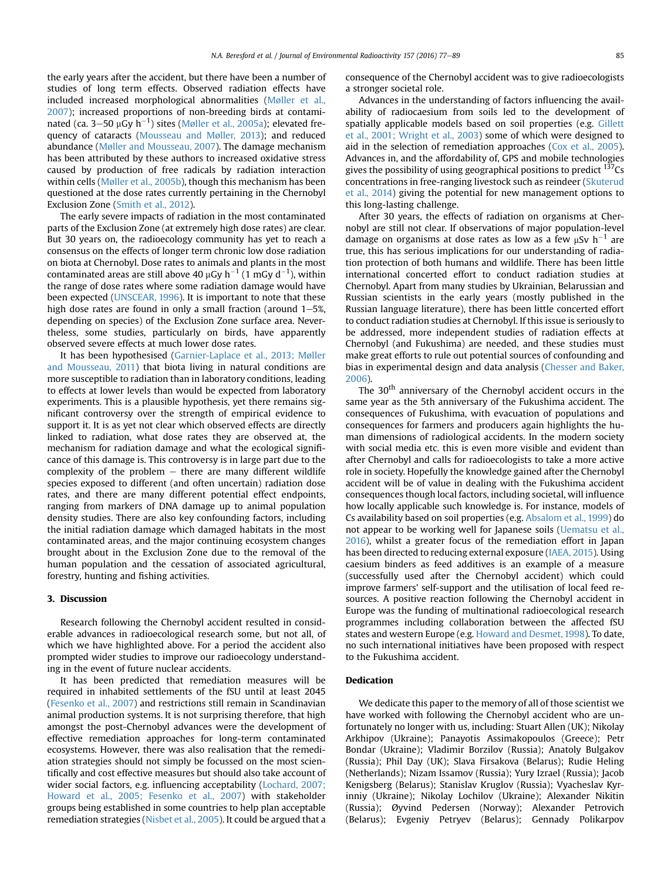the early years after the accident, but there have been a number of studies of long term effects. Observed radiation effects have included increased morphological abnormalities [\(Møller et al.,](#page-11-0) [2007\)](#page-11-0); increased proportions of non-breeding birds at contaminated (ca. 3–50  $\mu$ Gy h $^{-1}$ ) sites ([Møller et al., 2005a](#page-11-0)); elevated frequency of cataracts ([Mousseau and Møller, 2013\)](#page-11-0); and reduced abundance [\(Møller and Mousseau, 2007](#page-11-0)). The damage mechanism has been attributed by these authors to increased oxidative stress caused by production of free radicals by radiation interaction within cells ([Møller et al., 2005b](#page-11-0)), though this mechanism has been questioned at the dose rates currently pertaining in the Chernobyl Exclusion Zone [\(Smith et al., 2012\)](#page-11-0).

The early severe impacts of radiation in the most contaminated parts of the Exclusion Zone (at extremely high dose rates) are clear. But 30 years on, the radioecology community has yet to reach a consensus on the effects of longer term chronic low dose radiation on biota at Chernobyl. Dose rates to animals and plants in the most contaminated areas are still above 40 µGy h $^{-1}$  (1 mGy d $^{-1}$ ), within the range of dose rates where some radiation damage would have been expected ([UNSCEAR, 1996](#page-12-0)). It is important to note that these high dose rates are found in only a small fraction (around  $1-5$ %, depending on species) of the Exclusion Zone surface area. Nevertheless, some studies, particularly on birds, have apparently observed severe effects at much lower dose rates.

It has been hypothesised [\(Garnier-Laplace et al., 2013; Møller](#page-10-0) [and Mousseau, 2011](#page-10-0)) that biota living in natural conditions are more susceptible to radiation than in laboratory conditions, leading to effects at lower levels than would be expected from laboratory experiments. This is a plausible hypothesis, yet there remains significant controversy over the strength of empirical evidence to support it. It is as yet not clear which observed effects are directly linked to radiation, what dose rates they are observed at, the mechanism for radiation damage and what the ecological significance of this damage is. This controversy is in large part due to the complexity of the problem  $-$  there are many different wildlife species exposed to different (and often uncertain) radiation dose rates, and there are many different potential effect endpoints, ranging from markers of DNA damage up to animal population density studies. There are also key confounding factors, including the initial radiation damage which damaged habitats in the most contaminated areas, and the major continuing ecosystem changes brought about in the Exclusion Zone due to the removal of the human population and the cessation of associated agricultural, forestry, hunting and fishing activities.

# 3. Discussion

Research following the Chernobyl accident resulted in considerable advances in radioecological research some, but not all, of which we have highlighted above. For a period the accident also prompted wider studies to improve our radioecology understanding in the event of future nuclear accidents.

It has been predicted that remediation measures will be required in inhabited settlements of the fSU until at least 2045 ([Fesenko et al., 2007\)](#page-10-0) and restrictions still remain in Scandinavian animal production systems. It is not surprising therefore, that high amongst the post-Chernobyl advances were the development of effective remediation approaches for long-term contaminated ecosystems. However, there was also realisation that the remediation strategies should not simply be focussed on the most scientifically and cost effective measures but should also take account of wider social factors, e.g. influencing acceptability ([Lochard, 2007;](#page-11-0) [Howard et al., 2005; Fesenko et al., 2007\)](#page-11-0) with stakeholder groups being established in some countries to help plan acceptable remediation strategies [\(Nisbet et al., 2005](#page-11-0)). It could be argued that a

consequence of the Chernobyl accident was to give radioecologists a stronger societal role.

Advances in the understanding of factors influencing the availability of radiocaesium from soils led to the development of spatially applicable models based on soil properties (e.g. [Gillett](#page-10-0) [et al., 2001; Wright et al., 2003](#page-10-0)) some of which were designed to aid in the selection of remediation approaches ([Cox et al., 2005\)](#page-9-0). Advances in, and the affordability of, GPS and mobile technologies gives the possibility of using geographical positions to predict  $137Cs$ concentrations in free-ranging livestock such as reindeer [\(Skuterud](#page-11-0) [et al., 2014\)](#page-11-0) giving the potential for new management options to this long-lasting challenge.

After 30 years, the effects of radiation on organisms at Chernobyl are still not clear. If observations of major population-level damage on organisms at dose rates as low as a few  $\mu$ Sv h $^{-1}$  are true, this has serious implications for our understanding of radiation protection of both humans and wildlife. There has been little international concerted effort to conduct radiation studies at Chernobyl. Apart from many studies by Ukrainian, Belarussian and Russian scientists in the early years (mostly published in the Russian language literature), there has been little concerted effort to conduct radiation studies at Chernobyl. If this issue is seriously to be addressed, more independent studies of radiation effects at Chernobyl (and Fukushima) are needed, and these studies must make great efforts to rule out potential sources of confounding and bias in experimental design and data analysis [\(Chesser and Baker,](#page-9-0) [2006\)](#page-9-0).

The 30<sup>th</sup> anniversary of the Chernobyl accident occurs in the same year as the 5th anniversary of the Fukushima accident. The consequences of Fukushima, with evacuation of populations and consequences for farmers and producers again highlights the human dimensions of radiological accidents. In the modern society with social media etc. this is even more visible and evident than after Chernobyl and calls for radioecologists to take a more active role in society. Hopefully the knowledge gained after the Chernobyl accident will be of value in dealing with the Fukushima accident consequences though local factors, including societal, will influence how locally applicable such knowledge is. For instance, models of Cs availability based on soil properties (e.g. [Absalom et al., 1999](#page-9-0)) do not appear to be working well for Japanese soils [\(Uematsu et al.,](#page-12-0) [2016\)](#page-12-0), whilst a greater focus of the remediation effort in Japan has been directed to reducing external exposure ([IAEA, 2015\)](#page-10-0). Using caesium binders as feed additives is an example of a measure (successfully used after the Chernobyl accident) which could improve farmers' self-support and the utilisation of local feed resources. A positive reaction following the Chernobyl accident in Europe was the funding of multinational radioecological research programmes including collaboration between the affected fSU states and western Europe (e.g. [Howard and Desmet, 1998](#page-10-0)). To date, no such international initiatives have been proposed with respect to the Fukushima accident.

# Dedication

We dedicate this paper to the memory of all of those scientist we have worked with following the Chernobyl accident who are unfortunately no longer with us, including: Stuart Allen (UK); Nikolay Arkhipov (Ukraine); Panayotis Assimakopoulos (Greece); Petr Bondar (Ukraine); Vladimir Borzilov (Russia); Anatoly Bulgakov (Russia); Phil Day (UK); Slava Firsakova (Belarus); Rudie Heling (Netherlands); Nizam Issamov (Russia); Yury Izrael (Russia); Jacob Kenigsberg (Belarus); Stanislav Kruglov (Russia); Vyacheslav Kyrinniy (Ukraine); Nikolay Lochilov (Ukraine); Alexander Nikitin (Russia); Øyvind Pedersen (Norway); Alexander Petrovich (Belarus); Evgeniy Petryev (Belarus); Gennady Polikarpov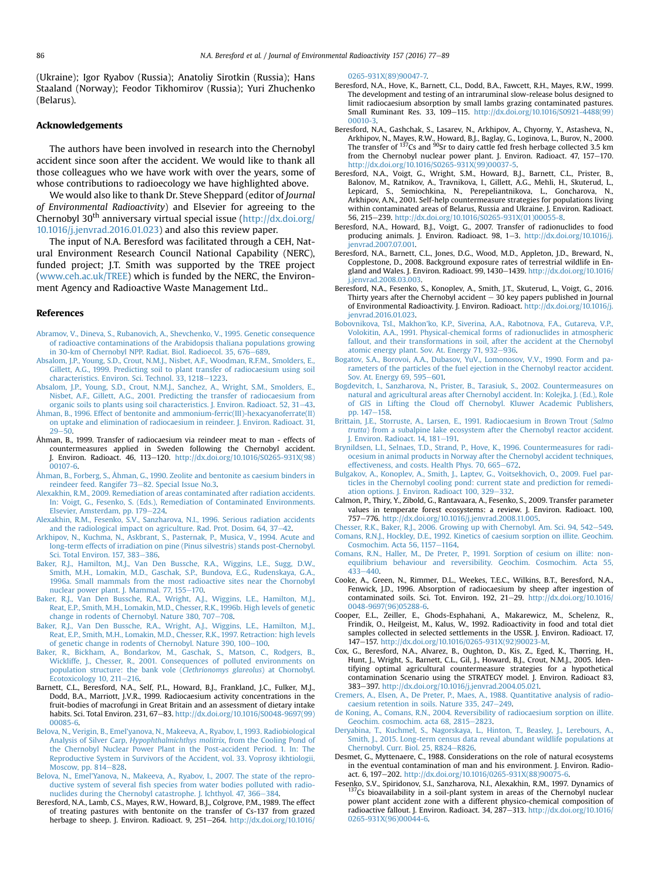<span id="page-9-0"></span>(Ukraine); Igor Ryabov (Russia); Anatoliy Sirotkin (Russia); Hans Staaland (Norway); Feodor Tikhomirov (Russia); Yuri Zhuchenko (Belarus).

# Acknowledgements

The authors have been involved in research into the Chernobyl accident since soon after the accident. We would like to thank all those colleagues who we have work with over the years, some of whose contributions to radioecology we have highlighted above.

We would also like to thank Dr. Steve Sheppard (editor of Journal of Environmental Radioactivity) and Elsevier for agreeing to the Chernobyl 30<sup>th</sup> anniversary virtual special issue ( $http://dx.doi.org/$ [10.1016/j.jenvrad.2016.01.023](http://dx.doi.org/10.1016/j.jenvrad.2016.01.023)) and also this review paper.

The input of N.A. Beresford was facilitated through a CEH, Natural Environment Research Council National Capability (NERC), funded project; J.T. Smith was supported by the TREE project ([www.ceh.ac.uk/TREE\)](http://www.ceh.ac.uk/TREE) which is funded by the NERC, the Environment Agency and Radioactive Waste Management Ltd..

#### References

- [Abramov, V., Dineva, S., Rubanovich, A., Shevchenko, V., 1995. Genetic consequence](http://refhub.elsevier.com/S0265-931X(16)30026-1/sref1) [of radioactive contaminations of the Arabidopsis thaliana populations growing](http://refhub.elsevier.com/S0265-931X(16)30026-1/sref1) [in 30-km of Chernobyl NPP. Radiat. Biol. Radioecol. 35, 676](http://refhub.elsevier.com/S0265-931X(16)30026-1/sref1)-[689.](http://refhub.elsevier.com/S0265-931X(16)30026-1/sref1)
- [Absalom, J.P., Young, S.D., Crout, N.M.J., Nisbet, A.F., Woodman, R.F.M., Smolders, E.,](http://refhub.elsevier.com/S0265-931X(16)30026-1/sref2) [Gillett, A.G., 1999. Predicting soil to plant transfer of radiocaesium using soil](http://refhub.elsevier.com/S0265-931X(16)30026-1/sref2) [characteristics. Environ. Sci. Technol. 33, 1218](http://refhub.elsevier.com/S0265-931X(16)30026-1/sref2)-[1223](http://refhub.elsevier.com/S0265-931X(16)30026-1/sref2).
- [Absalom, J.P., Young, S.D., Crout, N.M.J., Sanchez, A., Wright, S.M., Smolders, E.,](http://refhub.elsevier.com/S0265-931X(16)30026-1/sref3) [Nisbet, A.F., Gillett, A.G., 2001. Predicting the transfer of radiocaesium from](http://refhub.elsevier.com/S0265-931X(16)30026-1/sref3) [organic soils to plants using soil characteristics. J. Environ. Radioact. 52, 31](http://refhub.elsevier.com/S0265-931X(16)30026-1/sref3)-[43](http://refhub.elsevier.com/S0265-931X(16)30026-1/sref3).
- [Åhman, B., 1996. Effect of bentonite and ammonium-ferric\(III\)-hexacyanoferrate\(II\)](http://refhub.elsevier.com/S0265-931X(16)30026-1/sref4) [on uptake and elimination of radiocaesium in reindeer. J. Environ. Radioact. 31,](http://refhub.elsevier.com/S0265-931X(16)30026-1/sref4)  $29 - 50$  $29 - 50$ .
- Åhman, B., 1999. Transfer of radiocaesium via reindeer meat to man effects of countermeasures applied in Sweden following the Chernobyl accident. J. Environ. Radioact. 46, 113-120. [http://dx.doi.org/10.1016/S0265-931X\(98\)](http://dx.doi.org/10.1016/S0265-931X(98)00107-6) [00107-6.](http://dx.doi.org/10.1016/S0265-931X(98)00107-6)
- [Åhman, B., Forberg, S., Åhman, G., 1990. Zeolite and bentonite as caesium binders in](http://refhub.elsevier.com/S0265-931X(16)30026-1/sref6) [reindeer feed. Rangifer 73](http://refhub.elsevier.com/S0265-931X(16)30026-1/sref6)-[82. Special Issue No.3](http://refhub.elsevier.com/S0265-931X(16)30026-1/sref6).
- [Alexakhin, R.M., 2009. Remediation of areas contaminated after radiation accidents.](http://refhub.elsevier.com/S0265-931X(16)30026-1/sref7) [In: Voigt, G., Fesenko, S. \(Eds.\), Remediation of Contaminated Environments.](http://refhub.elsevier.com/S0265-931X(16)30026-1/sref7) [Elsevier, Amsterdam, pp. 179](http://refhub.elsevier.com/S0265-931X(16)30026-1/sref7)-[224.](http://refhub.elsevier.com/S0265-931X(16)30026-1/sref7)
- [Alexakhin, R.M., Fesenko, S.V., Sanzharova, N.I., 1996. Serious radiation accidents](http://refhub.elsevier.com/S0265-931X(16)30026-1/sref8) and the radiological impact on agriculture. Rad. Prot. Dosim.  $64$ ,  $37-42$ .
- [Arkhipov, N., Kuchma, N., Askbrant, S., Pasternak, P., Musica, V., 1994. Acute and](http://refhub.elsevier.com/S0265-931X(16)30026-1/sref9) [long-term effects of irradiation on pine \(Pinus silvestris\) stands post-Chernobyl.](http://refhub.elsevier.com/S0265-931X(16)30026-1/sref9) Sci. Total Environ.  $157, 383-386$  $157, 383-386$ .
- [Baker, R.J., Hamilton, M.J., Van Den Bussche, R.A., Wiggins, L.E., Sugg, D.W.,](http://refhub.elsevier.com/S0265-931X(16)30026-1/sref10) [Smith, M.H., Lomakin, M.D., Gaschak, S.P., Bundova, E.G., Rudenskaya, G.A.,](http://refhub.elsevier.com/S0265-931X(16)30026-1/sref10) [1996a. Small mammals from the most radioactive sites near the Chornobyl](http://refhub.elsevier.com/S0265-931X(16)30026-1/sref10) [nuclear power plant. J. Mammal. 77, 155](http://refhub.elsevier.com/S0265-931X(16)30026-1/sref10)-[170](http://refhub.elsevier.com/S0265-931X(16)30026-1/sref10).
- [Baker, R.J., Van Den Bussche, R.A., Wright, A.J., Wiggins, L.E., Hamilton, M.J.,](http://refhub.elsevier.com/S0265-931X(16)30026-1/sref11) [Reat, E.P., Smith, M.H., Lomakin, M.D., Chesser, R.K., 1996b. High levels of genetic](http://refhub.elsevier.com/S0265-931X(16)30026-1/sref11) [change in rodents of Chernobyl. Nature 380, 707](http://refhub.elsevier.com/S0265-931X(16)30026-1/sref11)–[708](http://refhub.elsevier.com/S0265-931X(16)30026-1/sref11).<br>[Baker, R.J., Van Den Bussche, R.A., Wright, A.J., Wiggins, L.E., Hamilton, M.J.,](http://refhub.elsevier.com/S0265-931X(16)30026-1/sref12)
- [Reat, E.P., Smith, M.H., Lomakin, M.D., Chesser, R.K., 1997. Retraction: high levels](http://refhub.elsevier.com/S0265-931X(16)30026-1/sref12) [of genetic change in rodents of Chernobyl. Nature 390, 100](http://refhub.elsevier.com/S0265-931X(16)30026-1/sref12)-[100](http://refhub.elsevier.com/S0265-931X(16)30026-1/sref12).
- [Baker, R., Bickham, A., Bondarkov, M., Gaschak, S., Matson, C., Rodgers, B.,](http://refhub.elsevier.com/S0265-931X(16)30026-1/sref13) [Wickliffe, J., Chesser, R., 2001. Consequences of polluted environments on](http://refhub.elsevier.com/S0265-931X(16)30026-1/sref13) [population structure: the bank vole \(](http://refhub.elsevier.com/S0265-931X(16)30026-1/sref13)Clethrionomys glareolus) at Chornobyl. [Ecotoxicology 10, 211](http://refhub.elsevier.com/S0265-931X(16)30026-1/sref13)-[216](http://refhub.elsevier.com/S0265-931X(16)30026-1/sref13).
- Barnett, C.L., Beresford, N.A., Self, P.L., Howard, B.J., Frankland, J.C., Fulker, M.J., Dodd, B.A., Marriott, J.V.R., 1999. Radiocaesium activity concentrations in the fruit-bodies of macrofungi in Great Britain and an assessment of dietary intake habits. Sci. Total Environ. 231, 67-83. [http://dx.doi.org/10.1016/S0048-9697\(99\)](http://dx.doi.org/10.1016/S0048-9697(99)00085-6) [00085-6.](http://dx.doi.org/10.1016/S0048-9697(99)00085-6)
- [Belova, N., Verigin, B., Emel'yanova, N., Makeeva, A., Ryabov, I., 1993. Radiobiological](http://refhub.elsevier.com/S0265-931X(16)30026-1/sref15) Analysis of Silver Carp, [Hypophthalmichthys molitrix](http://refhub.elsevier.com/S0265-931X(16)30026-1/sref15), from the Cooling Pond of [the Chernobyl Nuclear Power Plant in the Post-accident Period. 1. In: The](http://refhub.elsevier.com/S0265-931X(16)30026-1/sref15) [Reproductive System in Survivors of the Accident, vol. 33. Voprosy ikhtiologii,](http://refhub.elsevier.com/S0265-931X(16)30026-1/sref15) [Moscow, pp. 814](http://refhub.elsevier.com/S0265-931X(16)30026-1/sref15)-[828](http://refhub.elsevier.com/S0265-931X(16)30026-1/sref15).
- [Belova, N., Emel'Yanova, N., Makeeva, A., Ryabov, I., 2007. The state of the repro](http://refhub.elsevier.com/S0265-931X(16)30026-1/sref16)ductive system of several fi[sh species from water bodies polluted with radio](http://refhub.elsevier.com/S0265-931X(16)30026-1/sref16)[nuclides during the Chernobyl catastrophe. J. Ichthyol. 47, 366](http://refhub.elsevier.com/S0265-931X(16)30026-1/sref16)-[384](http://refhub.elsevier.com/S0265-931X(16)30026-1/sref16).
- Beresford, N.A., Lamb, C.S., Mayes, R.W., Howard, B.J., Colgrove, P.M., 1989. The effect of treating pastures with bentonite on the transfer of Cs-137 from grazed herbage to sheep. J. Environ. Radioact. 9, 251-264. [http://dx.doi.org/10.1016/](http://dx.doi.org/10.1016/0265-931X(89)90047-7)

[0265-931X\(89\)90047-7.](http://dx.doi.org/10.1016/0265-931X(89)90047-7)

- Beresford, N.A., Hove, K., Barnett, C.L., Dodd, B.A., Fawcett, R.H., Mayes, R.W., 1999. The development and testing of an intraruminal slow-release bolus designed to limit radiocaesium absorption by small lambs grazing contaminated pastures. Small Ruminant Res. 33, 109-115. [http://dx.doi.org/10.1016/S0921-4488\(99\)](http://dx.doi.org/10.1016/S0921-4488(99)00010-3) [00010-3](http://dx.doi.org/10.1016/S0921-4488(99)00010-3).
- Beresford, N.A., Gashchak, S., Lasarev, N., Arkhipov, A., Chyorny, Y., Astasheva, N., Arkhipov, N., Mayes, R.W., Howard, B.J., Baglay, G., Loginova, L., Burov, N., 2000.<br>The transfer of <sup>137</sup>Cs and <sup>90</sup>Sr to dairy cattle fed fresh herbage collected 3.5 km from the Chernobyl nuclear power plant. J. Environ. Radioact. 47, 157-170. [http://dx.doi.org/10.1016/S0265-931X\(99\)00037-5.](http://dx.doi.org/10.1016/S0265-931X(99)00037-5)
- Beresford, N.A., Voigt, G., Wright, S.M., Howard, B.J., Barnett, C.L., Prister, B., Balonov, M., Ratnikov, A., Travnikova, I., Gillett, A.G., Mehli, H., Skuterud, L., Lepicard, S., Semiochkina, N., Perepeliantnikova, L., Goncharova, N., Arkhipov, A.N., 2001. Self-help countermeasure strategies for populations living within contaminated areas of Belarus, Russia and Ukraine. J. Environ, Radioact. 56, 215–239. [http://dx.doi.org/10.1016/S0265-931X\(01\)00055-8.](http://dx.doi.org/10.1016/S0265-931X(01)00055-8)
- Beresford, N.A., Howard, B.J., Voigt, G., 2007. Transfer of radionuclides to food producing animals. J. Environ. Radioact. 98, 1-3. [http://dx.doi.org/10.1016/j.](http://dx.doi.org/10.1016/j.jenvrad.2007.07.001) [jenvrad.2007.07.001.](http://dx.doi.org/10.1016/j.jenvrad.2007.07.001)
- Beresford, N.A., Barnett, C.L., Jones, D.G., Wood, M.D., Appleton, J.D., Breward, N., Copplestone, D., 2008. Background exposure rates of terrestrial wildlife in England and Wales. J. Environ. Radioact. 99, 1430-1439. [http://dx.doi.org/10.1016/](http://dx.doi.org/10.1016/j.jenvrad.2008.03.003) [j.jenvrad.2008.03.003](http://dx.doi.org/10.1016/j.jenvrad.2008.03.003).
- Beresford, N.A., Fesenko, S., Konoplev, A., Smith, J.T., Skuterud, L., Voigt, G., 2016. Thirty years after the Chernobyl accident  $-30$  key papers published in Journal of Environmental Radioactivity. J. Environ. Radioact. [http://dx.doi.org/10.1016/j.](http://dx.doi.org/10.1016/j.jenvrad.2016.01.023) [jenvrad.2016.01.023](http://dx.doi.org/10.1016/j.jenvrad.2016.01.023).
- [Bobovnikova, TsI., Makhon'ko, K.P., Siverina, A.A., Rabotnova, F.A., Gutareva, V.P.,](http://refhub.elsevier.com/S0265-931X(16)30026-1/sref24) [Volokitin, A.A., 1991. Physical-chemical forms of radionuclides in atmospheric](http://refhub.elsevier.com/S0265-931X(16)30026-1/sref24) [fallout, and their transformations in soil, after the accident at the Chernobyl](http://refhub.elsevier.com/S0265-931X(16)30026-1/sref24) [atomic energy plant. Sov. At. Energy 71, 932](http://refhub.elsevier.com/S0265-931X(16)30026-1/sref24)-[936.](http://refhub.elsevier.com/S0265-931X(16)30026-1/sref24)
- [Bogatov, S.A., Borovoi, A.A., Dubasov, YuV., Lomonosov, V.V., 1990. Form and pa](http://refhub.elsevier.com/S0265-931X(16)30026-1/sref25)[rameters of the particles of the fuel ejection in the Chernobyl reactor accident.](http://refhub.elsevier.com/S0265-931X(16)30026-1/sref25) [Sov. At. Energy 69, 595](http://refhub.elsevier.com/S0265-931X(16)30026-1/sref25)-[601.](http://refhub.elsevier.com/S0265-931X(16)30026-1/sref25)
- [Bogdevitch, I., Sanzharova, N., Prister, B., Tarasiuk, S., 2002. Countermeasures on](http://refhub.elsevier.com/S0265-931X(16)30026-1/sref26) [natural and agricultural areas after Chernobyl accident. In: Kolejka, J. \(Ed.\), Role](http://refhub.elsevier.com/S0265-931X(16)30026-1/sref26) [of GIS in Lifting the Cloud off Chernobyl. Kluwer Academic Publishers,](http://refhub.elsevier.com/S0265-931X(16)30026-1/sref26) [pp. 147](http://refhub.elsevier.com/S0265-931X(16)30026-1/sref26)-[158](http://refhub.elsevier.com/S0265-931X(16)30026-1/sref26).
- [Brittain, J.E., Storruste, A., Larsen, E., 1991. Radiocaesium in Brown Trout \(](http://refhub.elsevier.com/S0265-931X(16)30026-1/sref27)Salmo trutta[\) from a subalpine lake ecosystem after the Chernobyl reactor accident.](http://refhub.elsevier.com/S0265-931X(16)30026-1/sref27) [J. Environ. Radioact. 14, 181](http://refhub.elsevier.com/S0265-931X(16)30026-1/sref27)-[191.](http://refhub.elsevier.com/S0265-931X(16)30026-1/sref27)
- [Brynildsen, L.I., Selnaes, T.D., Strand, P., Hove, K., 1996. Countermeasures for radi](http://refhub.elsevier.com/S0265-931X(16)30026-1/sref28)[ocesium in animal products in Norway after the Chernobyl accident techniques,](http://refhub.elsevier.com/S0265-931X(16)30026-1/sref28) [effectiveness, and costs. Health Phys. 70, 665](http://refhub.elsevier.com/S0265-931X(16)30026-1/sref28)-[672](http://refhub.elsevier.com/S0265-931X(16)30026-1/sref28).
- [Bulgakov, A., Konoplev, A., Smith, J., Laptev, G., Voitsekhovich, O., 2009. Fuel par](http://refhub.elsevier.com/S0265-931X(16)30026-1/sref171)[ticles in the Chernobyl cooling pond: current state and prediction for remedi](http://refhub.elsevier.com/S0265-931X(16)30026-1/sref171)[ation options. J. Environ. Radioact 100, 329](http://refhub.elsevier.com/S0265-931X(16)30026-1/sref171)-[332](http://refhub.elsevier.com/S0265-931X(16)30026-1/sref171).
- Calmon, P., Thiry, Y., Zibold, G., Rantavaara, A., Fesenko, S., 2009. Transfer parameter values in temperate forest ecosystems: a review. J. Environ. Radioact. 100, 757-776. <http://dx.doi.org/10.1016/j.jenvrad.2008.11.005>.

[Chesser, R.K., Baker, R.J., 2006. Growing up with Chernobyl. Am. Sci. 94, 542](http://refhub.elsevier.com/S0265-931X(16)30026-1/sref30)-[549](http://refhub.elsevier.com/S0265-931X(16)30026-1/sref30). [Comans, R.N.J., Hockley, D.E., 1992. Kinetics of caesium sorption on illite. Geochim.](http://refhub.elsevier.com/S0265-931X(16)30026-1/sref31)

- [Cosmochim. Acta 56, 1157](http://refhub.elsevier.com/S0265-931X(16)30026-1/sref31)-[1164.](http://refhub.elsevier.com/S0265-931X(16)30026-1/sref31) [Comans, R.N., Haller, M., De Preter, P., 1991. Sorption of cesium on illite: non-](http://refhub.elsevier.com/S0265-931X(16)30026-1/sref32)
- [equilibrium behaviour and reversibility. Geochim. Cosmochim. Acta 55,](http://refhub.elsevier.com/S0265-931X(16)30026-1/sref32) [433](http://refhub.elsevier.com/S0265-931X(16)30026-1/sref32)e[440.](http://refhub.elsevier.com/S0265-931X(16)30026-1/sref32)
- Cooke, A., Green, N., Rimmer, D.L., Weekes, T.E.C., Wilkins, B.T., Beresford, N.A., Fenwick, J.D., 1996. Absorption of radiocaesium by sheep after ingestion of contaminated soils. Sci. Tot. Environ. 192,  $21-29$ . [http://dx.doi.org/10.1016/](http://dx.doi.org/10.1016/0048-9697(96)05288-6) [0048-9697\(96\)05288-6.](http://dx.doi.org/10.1016/0048-9697(96)05288-6)
- Cooper, E.L., Zeiller, E., Ghods-Esphahani, A., Makarewicz, M., Schelenz, R., Frindik, O., Heilgeist, M., Kalus, W., 1992. Radioactivity in food and total diet samples collected in selected settlements in the USSR. J. Environ. Radioact. 17, 147e157. [http://dx.doi.org/10.1016/0265-931X\(92\)90023-M.](http://dx.doi.org/10.1016/0265-931X(92)90023-M)
- Cox, G., Beresford, N.A., Alvarez, B., Oughton, D., Kis, Z., Eged, K., Thørring, H., Hunt, J., Wright, S., Barnett, C.L., Gil, J., Howard, B.J., Crout, N.M.J., 2005. Identifying optimal agricultural countermeasure strategies for a hypothetical contamination Scenario using the STRATEGY model. J. Environ. Radioact 83, 383e397. [http://dx.doi.org/10.1016/j.jenvrad.2004.05.021.](http://dx.doi.org/10.1016/j.jenvrad.2004.05.021)
- [Cremers, A., Elsen, A., De Preter, P., Maes, A., 1988. Quantitative analysis of radio](http://refhub.elsevier.com/S0265-931X(16)30026-1/sref173)[caesium retention in soils. Nature 335, 247](http://refhub.elsevier.com/S0265-931X(16)30026-1/sref173)-[249](http://refhub.elsevier.com/S0265-931X(16)30026-1/sref173).
- [de Koning, A., Comans, R.N., 2004. Reversibility of radiocaesium sorption on illite.](http://refhub.elsevier.com/S0265-931X(16)30026-1/sref36) [Geochim. cosmochim. acta 68, 2815](http://refhub.elsevier.com/S0265-931X(16)30026-1/sref36)-[2823.](http://refhub.elsevier.com/S0265-931X(16)30026-1/sref36)
- [Deryabina, T., Kuchmel, S., Nagorskaya, L., Hinton, T., Beasley, J., Lerebours, A.,](http://refhub.elsevier.com/S0265-931X(16)30026-1/sref37) [Smith, J., 2015. Long-term census data reveal abundant wildlife populations at](http://refhub.elsevier.com/S0265-931X(16)30026-1/sref37) [Chernobyl. Curr. Biol. 25, R824](http://refhub.elsevier.com/S0265-931X(16)30026-1/sref37)-[R826.](http://refhub.elsevier.com/S0265-931X(16)30026-1/sref37)
- Desmet, G., Myttenaere, C., 1988. Considerations on the role of natural ecosystems in the eventual contamination of man and his environment. J. Environ. Radioact. 6, 197–202. [http://dx.doi.org/10.1016/0265-931X\(88\)90075-6](http://dx.doi.org/10.1016/0265-931X(88)90075-6).<br>Fesenko, S.V., Spiridonov, S.I., Sanzharova, N.I., Alexakhin, R.M., 1997. Dynamics of
- $137$ Cs bioavailability in a soil-plant system in areas of the Chernobyl nuclear power plant accident zone with a different physico-chemical composition of radioactive fallout. J. Environ. Radioact. 34, 287-313. [http://dx.doi.org/10.1016/](http://dx.doi.org/10.1016/0265-931X(96)00044-6) [0265-931X\(96\)00044-6.](http://dx.doi.org/10.1016/0265-931X(96)00044-6)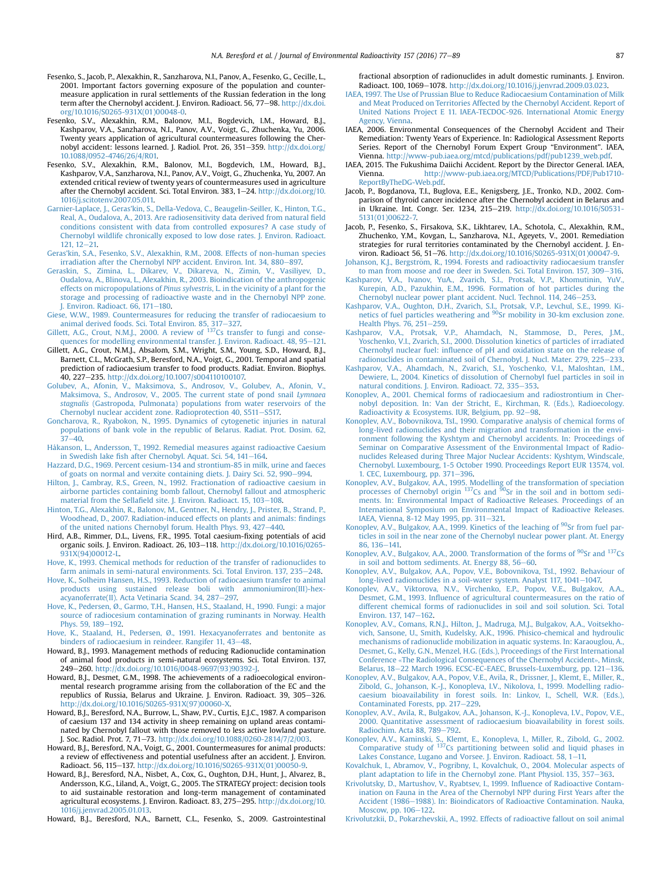- <span id="page-10-0"></span>Fesenko, S., Jacob, P., Alexakhin, R., Sanzharova, N.I., Panov, A., Fesenko, G., Cecille, L., 2001. Important factors governing exposure of the population and countermeasure application in rural settlements of the Russian federation in the long term after the Chernobyl accident. J. Environ. Radioact. 56, 77-98. [http://dx.doi.](http://dx.doi.org/10.1016/S0265-931X(01)00048-0) [org/10.1016/S0265-931X\(01\)00048-0.](http://dx.doi.org/10.1016/S0265-931X(01)00048-0)
- Fesenko, S.V., Alexakhin, R.M., Balonov, M.I., Bogdevich, I.M., Howard, B.J., Kashparov, V.A., Sanzharova, N.I., Panov, A.V., Voigt, G., Zhuchenka, Yu, 2006. Twenty years application of agricultural countermeasures following the Chernobyl accident: lessons learned. J. Radiol. Prot. 26, 351-359. [http://dx.doi.org/](http://dx.doi.org/10.1088/0952-4746/26/4/R01) [10.1088/0952-4746/26/4/R01.](http://dx.doi.org/10.1088/0952-4746/26/4/R01)
- Fesenko, S.V., Alexakhin, R.M., Balonov, M.I., Bogdevich, I.M., Howard, B.J., Kashparov, V.A., Sanzharova, N.I., Panov, A.V., Voigt, G., Zhuchenka, Yu, 2007. An extended critical review of twenty years of countermeasures used in agriculture after the Chernobyl accident. Sci. Total Environ. 383, 1-24. [http://dx.doi.org/10.](http://dx.doi.org/10.1016/j.scitotenv.2007.05.011) [1016/j.scitotenv.2007.05.011.](http://dx.doi.org/10.1016/j.scitotenv.2007.05.011)
- [Garnier-Laplace, J., Geras'kin, S., Della-Vedova, C., Beaugelin-Seiller, K., Hinton, T.G.,](http://refhub.elsevier.com/S0265-931X(16)30026-1/sref43) [Real, A., Oudalova, A., 2013. Are radiosensitivity data derived from natural](http://refhub.elsevier.com/S0265-931X(16)30026-1/sref43) field [conditions consistent with data from controlled exposures? A case study of](http://refhub.elsevier.com/S0265-931X(16)30026-1/sref43) [Chernobyl wildlife chronically exposed to low dose rates. J. Environ. Radioact.](http://refhub.elsevier.com/S0265-931X(16)30026-1/sref43)  $121.12 - 21.$  $121.12 - 21.$  $121.12 - 21.$
- [Geras'kin, S.A., Fesenko, S.V., Alexakhin, R.M., 2008. Effects of non-human species](http://refhub.elsevier.com/S0265-931X(16)30026-1/sref44) [irradiation after the Chernobyl NPP accident. Environ. Int. 34, 880](http://refhub.elsevier.com/S0265-931X(16)30026-1/sref44)-[897.](http://refhub.elsevier.com/S0265-931X(16)30026-1/sref44)
- [Geraskin, S., Zimina, L., Dikarev, V., Dikareva, N., Zimin, V., Vasiliyev, D.,](http://refhub.elsevier.com/S0265-931X(16)30026-1/sref45) [Oudalova, A., Blinova, L., Alexakhin, R., 2003. Bioindication of the anthropogenic](http://refhub.elsevier.com/S0265-931X(16)30026-1/sref45) effects on micropopulations of Pinus sylvestris[, L. in the vicinity of a plant for the](http://refhub.elsevier.com/S0265-931X(16)30026-1/sref45) [storage and processing of radioactive waste and in the Chernobyl NPP zone.](http://refhub.elsevier.com/S0265-931X(16)30026-1/sref45) I. Environ. Radioact.  $66$ .  $171-180$ .
- [Giese, W.W., 1989. Countermeasures for reducing the transfer of radiocaesium to](http://refhub.elsevier.com/S0265-931X(16)30026-1/sref46) animal derived foods. Sci. Total Environ. 85,  $317-327$ .<br>[Gillett,](http://refhub.elsevier.com/S0265-931X(16)30026-1/sref47) [A.G.,](http://refhub.elsevier.com/S0265-931X(16)30026-1/sref47) [Crout,](http://refhub.elsevier.com/S0265-931X(16)30026-1/sref47) [N.M.J.,](http://refhub.elsevier.com/S0265-931X(16)30026-1/sref47) [2000.](http://refhub.elsevier.com/S0265-931X(16)30026-1/sref47) [A](http://refhub.elsevier.com/S0265-931X(16)30026-1/sref47) [review](http://refhub.elsevier.com/S0265-931X(16)30026-1/sref47) [of](http://refhub.elsevier.com/S0265-931X(16)30026-1/sref47)  $137$ [Cs transfer to fungi and conse-](http://refhub.elsevier.com/S0265-931X(16)30026-1/sref47)
- [quences for modelling environmental transfer. J. Environ. Radioact. 48, 95](http://refhub.elsevier.com/S0265-931X(16)30026-1/sref47)-[121.](http://refhub.elsevier.com/S0265-931X(16)30026-1/sref47)
- Gillett, A.G., Crout, N.M.J., Absalom, S.M., Wright, S.M., Young, S.D., Howard, B.J., Barnett, C.L., McGrath, S.P., Beresford, N.A., Voigt, G., 2001. Temporal and spatial prediction of radiocaesium transfer to food products. Radiat. Environ. Biophys. 40, 227-235. [http://dx.doi.org/10.1007/s004110100107.](http://dx.doi.org/10.1007/s004110100107)
- [Golubev, A., Afonin, V., Maksimova, S., Androsov, V., Golubev, A., Afonin, V.,](http://refhub.elsevier.com/S0265-931X(16)30026-1/sref49) [Maksimova, S., Androsov, V., 2005. The current state of pond snail](http://refhub.elsevier.com/S0265-931X(16)30026-1/sref49) Lymnaea stagnalis [\(Gastropoda, Pulmonata\) populations from water reservoirs of the](http://refhub.elsevier.com/S0265-931X(16)30026-1/sref49) [Chernobyl nuclear accident zone. Radioprotection 40, S511](http://refhub.elsevier.com/S0265-931X(16)30026-1/sref49)-[S517.](http://refhub.elsevier.com/S0265-931X(16)30026-1/sref49)
- [Goncharova, R., Ryabokon, N., 1995. Dynamics of cytogenetic injuries in natural](http://refhub.elsevier.com/S0265-931X(16)30026-1/sref50) [populations of bank vole in the republic of Belarus. Radiat. Prot. Dosim. 62,](http://refhub.elsevier.com/S0265-931X(16)30026-1/sref50)  $37 - 40$  $37 - 40$
- [Håkanson, L., Andersson, T., 1992. Remedial measures against radioactive Caesium](http://refhub.elsevier.com/S0265-931X(16)30026-1/sref51) in Swedish lake fi[sh after Chernobyl. Aquat. Sci. 54, 141](http://refhub.elsevier.com/S0265-931X(16)30026-1/sref51)-[164](http://refhub.elsevier.com/S0265-931X(16)30026-1/sref51).
- [Hazzard, D.G., 1969. Percent cesium-134 and strontium-85 in milk, urine and faeces](http://refhub.elsevier.com/S0265-931X(16)30026-1/sref52) [of goats on normal and verxite containing diets. J. Dairy Sci. 52, 990](http://refhub.elsevier.com/S0265-931X(16)30026-1/sref52)-[994.](http://refhub.elsevier.com/S0265-931X(16)30026-1/sref52)
- [Hilton, J., Cambray, R.S., Green, N., 1992. Fractionation of radioactive caesium in](http://refhub.elsevier.com/S0265-931X(16)30026-1/sref53) [airborne particles containing bomb fallout, Chernobyl fallout and atmospheric](http://refhub.elsevier.com/S0265-931X(16)30026-1/sref53) material from the Sellafi[eld site. J. Environ. Radioact. 15, 103](http://refhub.elsevier.com/S0265-931X(16)30026-1/sref53)-[108](http://refhub.elsevier.com/S0265-931X(16)30026-1/sref53).
- [Hinton, T.G., Alexakhin, R., Balonov, M., Gentner, N., Hendry, J., Prister, B., Strand, P.,](http://refhub.elsevier.com/S0265-931X(16)30026-1/sref54) [Woodhead, D., 2007. Radiation-induced effects on plants and animals:](http://refhub.elsevier.com/S0265-931X(16)30026-1/sref54) findings [of the united nations Chernobyl forum. Health Phys. 93, 427](http://refhub.elsevier.com/S0265-931X(16)30026-1/sref54)-[440](http://refhub.elsevier.com/S0265-931X(16)30026-1/sref54).
- Hird, A.B., Rimmer, D.L., Livens, F.R., 1995. Total caesium-fixing potentials of acid organic soils. J. Environ. Radioact. 26, 103-118. [http://dx.doi.org/10.1016/0265-](http://dx.doi.org/10.1016/0265-931X(94)00012-L) [931X\(94\)00012-L](http://dx.doi.org/10.1016/0265-931X(94)00012-L).
- [Hove, K., 1993. Chemical methods for reduction of the transfer of radionuclides to](http://refhub.elsevier.com/S0265-931X(16)30026-1/sref56) [farm animals in semi-natural environments. Sci. Total Environ. 137, 235](http://refhub.elsevier.com/S0265-931X(16)30026-1/sref56)-[248](http://refhub.elsevier.com/S0265-931X(16)30026-1/sref56).
- [Hove, K., Solheim Hansen, H.S., 1993. Reduction of radiocaesium transfer to animal](http://refhub.elsevier.com/S0265-931X(16)30026-1/sref57) [products using sustained release boli with ammoniumiron\(III\)-hex](http://refhub.elsevier.com/S0265-931X(16)30026-1/sref57)[acyanoferrate\(II\). Acta Vetinaria Scand. 34, 287](http://refhub.elsevier.com/S0265-931X(16)30026-1/sref57)-[297.](http://refhub.elsevier.com/S0265-931X(16)30026-1/sref57)
- [Hove, K., Pedersen,](http://refhub.elsevier.com/S0265-931X(16)30026-1/sref58) Ø[., Garmo, T.H., Hansen, H.S., Staaland, H., 1990. Fungi: a major](http://refhub.elsevier.com/S0265-931X(16)30026-1/sref58) [source of radiocesium contamination of grazing ruminants in Norway. Health](http://refhub.elsevier.com/S0265-931X(16)30026-1/sref58) [Phys. 59, 189](http://refhub.elsevier.com/S0265-931X(16)30026-1/sref58)-[192.](http://refhub.elsevier.com/S0265-931X(16)30026-1/sref58)
- [Hove, K., Staaland, H., Pedersen, Ø., 1991. Hexacyanoferrates and bentonite as](http://refhub.elsevier.com/S0265-931X(16)30026-1/sref59) [binders of radiocaesium in reindeer. Rangifer 11, 43](http://refhub.elsevier.com/S0265-931X(16)30026-1/sref59)-[48.](http://refhub.elsevier.com/S0265-931X(16)30026-1/sref59)
- Howard, B.J., 1993. Management methods of reducing Radionuclide contamination of animal food products in semi-natural ecosystems. Sci. Total Environ. 137, 249-260. [http://dx.doi.org/10.1016/0048-9697\(93\)90392-J](http://dx.doi.org/10.1016/0048-9697(93)90392-J)
- Howard, B.J., Desmet, G.M., 1998. The achievements of a radioecological environmental research programme arising from the collaboration of the EC and the republics of Russia, Belarus and Ukraine. J. Environ. Radioact. 39, 305-326. [http://dx.doi.org/10.1016/S0265-931X\(97\)00060-X.](http://dx.doi.org/10.1016/S0265-931X(97)00060-X)
- Howard, B.J., Beresford, N.A., Burrow, L., Shaw, P.V., Curtis, E.J.C., 1987. A comparison of caesium 137 and 134 activity in sheep remaining on upland areas contaminated by Chernobyl fallout with those removed to less active lowland pasture. J. Soc. Radiol. Prot. 7, 71-73. <http://dx.doi.org/10.1088/0260-2814/7/2/003>.
- Howard, B.J., Beresford, N.A., Voigt, G., 2001. Countermeasures for animal products: a review of effectiveness and potential usefulness after an accident. J. Environ. Radioact. 56, 115-137. [http://dx.doi.org/10.1016/S0265-931X\(01\)00050-9.](http://dx.doi.org/10.1016/S0265-931X(01)00050-9)
- Howard, B.J., Beresford, N.A., Nisbet, A., Cox, G., Oughton, D.H., Hunt, J., Alvarez, B., Andersson, K.G., Liland, A., Voigt, G., 2005. The STRATEGY project: decision tools to aid sustainable restoration and long-term management of contaminated agricultural ecosystems. J. Environ. Radioact. 83, 275-295. [http://dx.doi.org/10.](http://dx.doi.org/10.1016/j.jenvrad.2005.01.013) [1016/j.jenvrad.2005.01.013.](http://dx.doi.org/10.1016/j.jenvrad.2005.01.013)

Howard, B.J., Beresford, N.A., Barnett, C.L., Fesenko, S., 2009. Gastrointestinal

fractional absorption of radionuclides in adult domestic ruminants. J. Environ. Radioact. 100, 1069-1078. <http://dx.doi.org/10.1016/j.jenvrad.2009.03.023>.

- [IAEA, 1997. The Use of Prussian Blue to Reduce Radiocaesium Contamination of Milk](http://refhub.elsevier.com/S0265-931X(16)30026-1/sref66) [and Meat Produced on Territories Affected by the Chernobyl Accident. Report of](http://refhub.elsevier.com/S0265-931X(16)30026-1/sref66) [United Nations Project E 11. IAEA-TECDOC-926. International Atomic Energy](http://refhub.elsevier.com/S0265-931X(16)30026-1/sref66) [Agency, Vienna](http://refhub.elsevier.com/S0265-931X(16)30026-1/sref66).
- IAEA, 2006. Environmental Consequences of the Chernobyl Accident and Their Remediation: Twenty Years of Experience. In: Radiological Assessment Reports Series. Report of the Chernobyl Forum Expert Group "Environment". IAEA, Vienna. [http://www-pub.iaea.org/mtcd/publications/pdf/pub1239\\_web.pdf](http://www-pub.iaea.org/mtcd/publications/pdf/pub1239_web.pdf).
- IAEA, 2015. The Fukushima Daiichi Accident. Report by the Director General. IAEA, Vienna. [http://www-pub.iaea.org/MTCD/Publications/PDF/Pub1710-](http://www-pub.iaea.org/MTCD/Publications/PDF/Pub1710-ReportByTheDG-Web.pdf) [ReportByTheDG-Web.pdf.](http://www-pub.iaea.org/MTCD/Publications/PDF/Pub1710-ReportByTheDG-Web.pdf)
- Jacob, P., Bogdanova, T.I., Buglova, E.E., Kenigsberg, J.E., Tronko, N.D., 2002. Comparison of thyroid cancer incidence after the Chernobyl accident in Belarus and in Ukraine. Int. Congr. Ser. 1234, 215-219. [http://dx.doi.org/10.1016/S0531-](http://dx.doi.org/10.1016/S0531-5131(01)00622-7) [5131\(01\)00622-7.](http://dx.doi.org/10.1016/S0531-5131(01)00622-7)
- Jacob, P., Fesenko, S., Firsakova, S.K., Likhtarev, I.A., Schotola, C., Alexakhin, R.M., Zhuchenko, Y.M., Kovgan, L., Sanzharova, N.I., Ageyets, V., 2001. Remediation strategies for rural territories contaminated by the Chernobyl accident. J. Environ. Radioact 56, 51-76. [http://dx.doi.org/10.1016/S0265-931X\(01\)00047-9.](http://dx.doi.org/10.1016/S0265-931X(01)00047-9)
- Johanson, K.J., Bergström, R., 1994. Forests and radioactivity radiocaesium transfer [to man from moose and roe deer in Sweden. Sci. Total Environ. 157, 309](http://refhub.elsevier.com/S0265-931X(16)30026-1/sref70)-[316](http://refhub.elsevier.com/S0265-931X(16)30026-1/sref70).
- [Kashparov, V.A., Ivanov, YuA., Zvarich, S.I., Protsak, V.P., Khomutinin, YuV.,](http://refhub.elsevier.com/S0265-931X(16)30026-1/sref71) [Kurepin, A.D., Pazukhin, E.M., 1996. Formation of hot particles during the](http://refhub.elsevier.com/S0265-931X(16)30026-1/sref71) [Chernobyl nuclear power plant accident. Nucl. Technol. 114, 246](http://refhub.elsevier.com/S0265-931X(16)30026-1/sref71)-[253.](http://refhub.elsevier.com/S0265-931X(16)30026-1/sref71)
- Kashparov, V.A., Oughton, D.H., Zvarich, S.I., Protsak, V.P., Levchul, S.E., 1999. Ki-<br>[netics](http://refhub.elsevier.com/S0265-931X(16)30026-1/sref72) [of](http://refhub.elsevier.com/S0265-931X(16)30026-1/sref72) [fuel](http://refhub.elsevier.com/S0265-931X(16)30026-1/sref72) [particles](http://refhub.elsevier.com/S0265-931X(16)30026-1/sref72) [weathering](http://refhub.elsevier.com/S0265-931X(16)30026-1/sref72) [and](http://refhub.elsevier.com/S0265-931X(16)30026-1/sref72) <sup>90</sup>Sr mobility in 30-km exclusion zone. [Health Phys. 76, 251](http://refhub.elsevier.com/S0265-931X(16)30026-1/sref72)-[259.](http://refhub.elsevier.com/S0265-931X(16)30026-1/sref72)
- [Kashparov, V.A., Protsak, V.P., Ahamdach, N., Stammose, D., Peres, J.M.,](http://refhub.elsevier.com/S0265-931X(16)30026-1/sref73) [Yoschenko, V.I., Zvarich, S.I., 2000. Dissolution kinetics of particles of irradiated](http://refhub.elsevier.com/S0265-931X(16)30026-1/sref73) Chernobyl nuclear fuel: infl[uence of pH and oxidation state on the release of](http://refhub.elsevier.com/S0265-931X(16)30026-1/sref73) [radionuclides in contaminated soil of Chernobyl. J. Nucl. Mater. 279, 225](http://refhub.elsevier.com/S0265-931X(16)30026-1/sref73)-[233](http://refhub.elsevier.com/S0265-931X(16)30026-1/sref73).
- [Kashparov, V.A., Ahamdach, N., Zvarich, S.I., Yoschenko, V.I., Maloshtan, I.M.,](http://refhub.elsevier.com/S0265-931X(16)30026-1/sref74) [Dewiere, L., 2004. Kinetics of dissolution of Chernobyl fuel particles in soil in](http://refhub.elsevier.com/S0265-931X(16)30026-1/sref74) [natural conditions. J. Environ. Radioact. 72, 335](http://refhub.elsevier.com/S0265-931X(16)30026-1/sref74)-[353](http://refhub.elsevier.com/S0265-931X(16)30026-1/sref74).
- [Konoplev, A., 2001. Chemical forms of radiocaesium and radiostrontium in Cher](http://refhub.elsevier.com/S0265-931X(16)30026-1/sref75)[nobyl deposition. In: Van der Stricht, E., Kirchman, R. \(Eds.\), Radioecology.](http://refhub.elsevier.com/S0265-931X(16)30026-1/sref75) [Radioactivity](http://refhub.elsevier.com/S0265-931X(16)30026-1/sref75) & [Ecosystems. IUR, Belgium, pp. 92](http://refhub.elsevier.com/S0265-931X(16)30026-1/sref75)-[98.](http://refhub.elsevier.com/S0265-931X(16)30026-1/sref75)
- [Konoplev, A.V., Bobovnikova, TsI., 1990. Comparative analysis of chemical forms of](http://refhub.elsevier.com/S0265-931X(16)30026-1/sref76) [long-lived radionuclides and their migration and transformation in the envi](http://refhub.elsevier.com/S0265-931X(16)30026-1/sref76)[ronment following the Kyshtym and Chernobyl accidents. In: Proceedings of](http://refhub.elsevier.com/S0265-931X(16)30026-1/sref76) [Seminar on Comparative Assessment of the Environmental Impact of Radio](http://refhub.elsevier.com/S0265-931X(16)30026-1/sref76)[nuclides Released during Three Major Nuclear Accidents: Kyshtym, Windscale,](http://refhub.elsevier.com/S0265-931X(16)30026-1/sref76) [Chernobyl. Luxembourg, 1-5 October 1990. Proceedings Report EUR 13574, vol.](http://refhub.elsevier.com/S0265-931X(16)30026-1/sref76) [1. CEC, Luxembourg, pp. 371](http://refhub.elsevier.com/S0265-931X(16)30026-1/sref76)-[396.](http://refhub.elsevier.com/S0265-931X(16)30026-1/sref76)
- [Konoplev, A.V., Bulgakov, A.A., 1995. Modelling of the transformation of speciation](http://refhub.elsevier.com/S0265-931X(16)30026-1/sref77) [processes](http://refhub.elsevier.com/S0265-931X(16)30026-1/sref77) [of](http://refhub.elsevier.com/S0265-931X(16)30026-1/sref77) [Chernobyl](http://refhub.elsevier.com/S0265-931X(16)30026-1/sref77) [origin](http://refhub.elsevier.com/S0265-931X(16)30026-1/sref77)  $^{137}$ [Cs](http://refhub.elsevier.com/S0265-931X(16)30026-1/sref77) [and](http://refhub.elsevier.com/S0265-931X(16)30026-1/sref77)  $^{90}$ Sr in the soil and in bottom sedi[ments. In: Environmental Impact of Radioactive Releases. Proceedings of an](http://refhub.elsevier.com/S0265-931X(16)30026-1/sref77) [International Symposium on Environmental Impact of Radioactive Releases.](http://refhub.elsevier.com/S0265-931X(16)30026-1/sref77) [IAEA, Vienna, 8-12 May 1995, pp. 311](http://refhub.elsevier.com/S0265-931X(16)30026-1/sref77)-[321.](http://refhub.elsevier.com/S0265-931X(16)30026-1/sref77)
- [Konoplev,](http://refhub.elsevier.com/S0265-931X(16)30026-1/sref78) [A.V.,](http://refhub.elsevier.com/S0265-931X(16)30026-1/sref78) [Bulgakov,](http://refhub.elsevier.com/S0265-931X(16)30026-1/sref78) [A.A.,](http://refhub.elsevier.com/S0265-931X(16)30026-1/sref78) [1999.](http://refhub.elsevier.com/S0265-931X(16)30026-1/sref78) [Kinetics](http://refhub.elsevier.com/S0265-931X(16)30026-1/sref78) [of](http://refhub.elsevier.com/S0265-931X(16)30026-1/sref78) [the](http://refhub.elsevier.com/S0265-931X(16)30026-1/sref78) [leaching](http://refhub.elsevier.com/S0265-931X(16)30026-1/sref78) of <sup>90</sup>Sr from fuel par[ticles in soil in the near zone of the Chernobyl nuclear power plant. At. Energy](http://refhub.elsevier.com/S0265-931X(16)30026-1/sref78) [86, 136](http://refhub.elsevier.com/S0265-931X(16)30026-1/sref78)-[141.](http://refhub.elsevier.com/S0265-931X(16)30026-1/sref78)
- [Konoplev,](http://refhub.elsevier.com/S0265-931X(16)30026-1/sref79) [A.V.,](http://refhub.elsevier.com/S0265-931X(16)30026-1/sref79) [Bulgakov,](http://refhub.elsevier.com/S0265-931X(16)30026-1/sref79) [A.A.,](http://refhub.elsevier.com/S0265-931X(16)30026-1/sref79) [2000.](http://refhub.elsevier.com/S0265-931X(16)30026-1/sref79) [Transformation](http://refhub.elsevier.com/S0265-931X(16)30026-1/sref79) [of](http://refhub.elsevier.com/S0265-931X(16)30026-1/sref79) [the](http://refhub.elsevier.com/S0265-931X(16)30026-1/sref79) [forms](http://refhub.elsevier.com/S0265-931X(16)30026-1/sref79) of <sup>90</sup>Sr [and](http://refhub.elsevier.com/S0265-931X(16)30026-1/sref79) <sup>137</sup>[Cs](http://refhub.elsevier.com/S0265-931X(16)30026-1/sref79) [in soil and bottom sediments. At. Energy 88, 56](http://refhub.elsevier.com/S0265-931X(16)30026-1/sref79)-[60](http://refhub.elsevier.com/S0265-931X(16)30026-1/sref79).
- [Konoplev, A.V., Bulgakov, A.A., Popov, V.E., Bobovnikova, TsI., 1992. Behaviour of](http://refhub.elsevier.com/S0265-931X(16)30026-1/sref82) [long-lived radionuclides in a soil-water system. Analyst 117, 1041](http://refhub.elsevier.com/S0265-931X(16)30026-1/sref82)-[1047.](http://refhub.elsevier.com/S0265-931X(16)30026-1/sref82)
- Konoplev, A.V., Viktorova, N.V., Virchenko, E.P., Popov, V.E., Bulgakov, A.A. Desmet, G.M., 1993. Infl[uence of agricultural countermeasures on the ratio of](http://refhub.elsevier.com/S0265-931X(16)30026-1/sref83) [different chemical forms of radionuclides in soil and soil solution. Sci. Total](http://refhub.elsevier.com/S0265-931X(16)30026-1/sref83) [Environ. 137, 147](http://refhub.elsevier.com/S0265-931X(16)30026-1/sref83)-[162](http://refhub.elsevier.com/S0265-931X(16)30026-1/sref83).
- [Konoplev, A.V., Comans, R.N.J., Hilton, J., Madruga, M.J., Bulgakov, A.A., Voitsekho](http://refhub.elsevier.com/S0265-931X(16)30026-1/sref84)[vich, Sansone, U., Smith, Kudelsky, A.K., 1996. Phisico-chemical and hydroulic](http://refhub.elsevier.com/S0265-931X(16)30026-1/sref84) [mechanisms of radionuclide mobilization in aquatic systems. In: Karaouglou, A.,](http://refhub.elsevier.com/S0265-931X(16)30026-1/sref84) [Desmet, G., Kelly, G.N., Menzel, H.G. \(Eds.\), Proceedings of the First International](http://refhub.elsevier.com/S0265-931X(16)30026-1/sref84) Conference «[The Radiological Consequences of the Chernobyl Accident](http://refhub.elsevier.com/S0265-931X(16)30026-1/sref84)», Minsk, [Belarus, 18](http://refhub.elsevier.com/S0265-931X(16)30026-1/sref84)-[22 March 1996. ECSC-EC-EAEC, Brussels-Luxemburg, pp. 121](http://refhub.elsevier.com/S0265-931X(16)30026-1/sref84)-[136.](http://refhub.elsevier.com/S0265-931X(16)30026-1/sref84)
- [Konoplev, A.V., Bulgakov, A.A., Popov, V.E., Avila, R., Drissner, J., Klemt, E., Miller, R.,](http://refhub.elsevier.com/S0265-931X(16)30026-1/sref85) [Zibold, G., Johanson, K.-J., Konopleva, I.V., Nikolova, I., 1999. Modelling radio](http://refhub.elsevier.com/S0265-931X(16)30026-1/sref85)[caesium bioavailability in forest soils. In: Linkov, I., Schell, W.R. \(Eds.\),](http://refhub.elsevier.com/S0265-931X(16)30026-1/sref85) [Contaminated Forests, pp. 217](http://refhub.elsevier.com/S0265-931X(16)30026-1/sref85)-[229.](http://refhub.elsevier.com/S0265-931X(16)30026-1/sref85)
- [Konoplev, A.V., Avila, R., Bulgakov, A.A., Johanson, K.-J., Konopleva, I.V., Popov, V.E.,](http://refhub.elsevier.com/S0265-931X(16)30026-1/sref86) [2000. Quantitative assessment of radiocaesium bioavailability in forest soils.](http://refhub.elsevier.com/S0265-931X(16)30026-1/sref86) [Radiochim. Acta 88, 789](http://refhub.elsevier.com/S0265-931X(16)30026-1/sref86)-[792.](http://refhub.elsevier.com/S0265-931X(16)30026-1/sref86)
- [Konoplev, A.V., Kaminski, S., Klemt, E., Konopleva, I., Miller, R., Zibold, G., 2002.](http://refhub.elsevier.com/S0265-931X(16)30026-1/sref87) [Comparative](http://refhub.elsevier.com/S0265-931X(16)30026-1/sref87) [study](http://refhub.elsevier.com/S0265-931X(16)30026-1/sref87) [of](http://refhub.elsevier.com/S0265-931X(16)30026-1/sref87) <sup>137</sup>[Cs partitioning between solid and liquid phases in](http://refhub.elsevier.com/S0265-931X(16)30026-1/sref87) [Lakes Constance, Lugano and Vorsee. J. Environ. Radioact. 58, 1](http://refhub.elsevier.com/S0265-931X(16)30026-1/sref87)-[11.](http://refhub.elsevier.com/S0265-931X(16)30026-1/sref87)
- [Kovalchuk, I., Abramov, V., Pogribny, I., Kovalchuk, O., 2004. Molecular aspects of](http://refhub.elsevier.com/S0265-931X(16)30026-1/sref89) [plant adaptation to life in the Chernobyl zone. Plant Physiol. 135, 357](http://refhub.elsevier.com/S0265-931X(16)30026-1/sref89)-[363.](http://refhub.elsevier.com/S0265-931X(16)30026-1/sref89)
- [Krivolutsky, D., Martushov, V., Ryabtsev, I., 1999. In](http://refhub.elsevier.com/S0265-931X(16)30026-1/sref90)fluence of Radioactive Contam[ination on Fauna in the Area of the Chernobyl NPP during First Years after the](http://refhub.elsevier.com/S0265-931X(16)30026-1/sref90) [Accident \(1986](http://refhub.elsevier.com/S0265-931X(16)30026-1/sref90)-[1988\). In: Bioindicators of Radioactive Contamination. Nauka,](http://refhub.elsevier.com/S0265-931X(16)30026-1/sref90) [Moscow, pp. 106](http://refhub.elsevier.com/S0265-931X(16)30026-1/sref90)-[122](http://refhub.elsevier.com/S0265-931X(16)30026-1/sref90).
- [Krivolutzkii, D., Pokarzhevskii, A., 1992. Effects of radioactive fallout on soil animal](http://refhub.elsevier.com/S0265-931X(16)30026-1/sref91)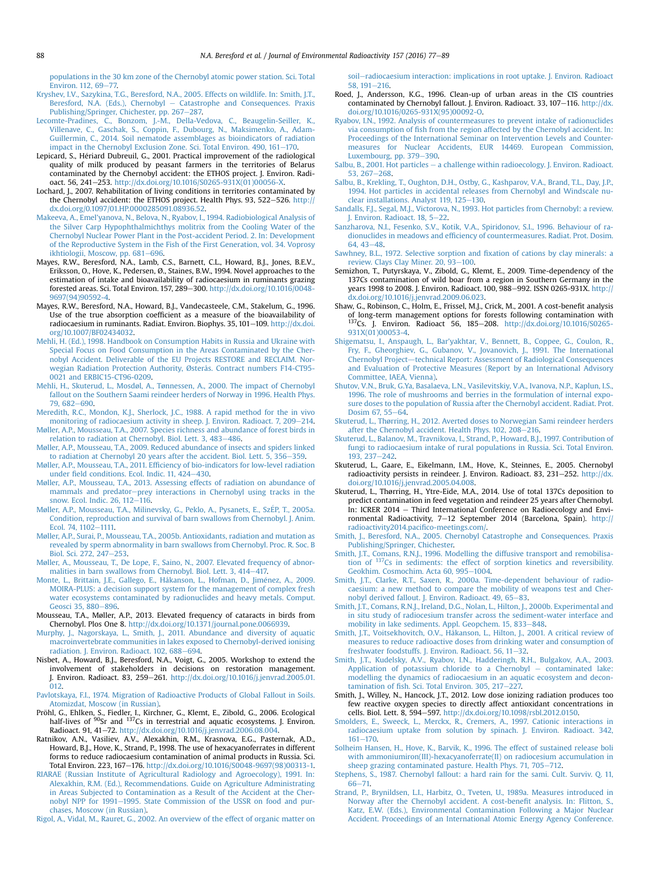<span id="page-11-0"></span>[populations in the 30 km zone of the Chernobyl atomic power station. Sci. Total](http://refhub.elsevier.com/S0265-931X(16)30026-1/sref91) [Environ. 112, 69](http://refhub.elsevier.com/S0265-931X(16)30026-1/sref91)-[77.](http://refhub.elsevier.com/S0265-931X(16)30026-1/sref91)

- [Kryshev, I.V., Sazykina, T.G., Beresford, N.A., 2005. Effects on wildlife. In: Smith, J.T.,](http://refhub.elsevier.com/S0265-931X(16)30026-1/sref93) [Beresford, N.A. \(Eds.\), Chernobyl](http://refhub.elsevier.com/S0265-931X(16)30026-1/sref93) – [Catastrophe and Consequences. Praxis](http://refhub.elsevier.com/S0265-931X(16)30026-1/sref93) [Publishing/Springer, Chichester, pp. 267](http://refhub.elsevier.com/S0265-931X(16)30026-1/sref93)-[287.](http://refhub.elsevier.com/S0265-931X(16)30026-1/sref93)
- [Lecomte-Pradines, C., Bonzom, J.-M., Della-Vedova, C., Beaugelin-Seiller, K.,](http://refhub.elsevier.com/S0265-931X(16)30026-1/sref94) [Villenave, C., Gaschak, S., Coppin, F., Dubourg, N., Maksimenko, A., Adam-](http://refhub.elsevier.com/S0265-931X(16)30026-1/sref94)[Guillermin, C., 2014. Soil nematode assemblages as bioindicators of radiation](http://refhub.elsevier.com/S0265-931X(16)30026-1/sref94) [impact in the Chernobyl Exclusion Zone. Sci. Total Environ. 490, 161](http://refhub.elsevier.com/S0265-931X(16)30026-1/sref94)-[170.](http://refhub.elsevier.com/S0265-931X(16)30026-1/sref94)
- Lepicard, S., Heriard Dubreuil, G., 2001. Practical improvement of the radiological quality of milk produced by peasant farmers in the territories of Belarus contaminated by the Chernobyl accident: the ETHOS project. J. Environ. Radioact. 56, 241-253. [http://dx.doi.org/10.1016/S0265-931X\(01\)00056-X.](http://dx.doi.org/10.1016/S0265-931X(01)00056-X)
- Lochard, J., 2007. Rehabilitation of living conditions in territories contaminated by the Chernobyl accident: the ETHOS project. Health Phys. 93, 522-526. [http://](http://dx.doi.org/0.1097/01.HP.0000285091.08936.52) [dx.doi.org/0.1097/01.HP.0000285091.08936.52](http://dx.doi.org/0.1097/01.HP.0000285091.08936.52).
- [Makeeva, A., Emel'yanova, N., Belova, N., Ryabov, I., 1994. Radiobiological Analysis of](http://refhub.elsevier.com/S0265-931X(16)30026-1/sref97) [the Silver Carp Hypophthalmichthys molitrix from the Cooling Water of the](http://refhub.elsevier.com/S0265-931X(16)30026-1/sref97) [Chernobyl Nuclear Power Plant in the Post-accident Period. 2. In: Development](http://refhub.elsevier.com/S0265-931X(16)30026-1/sref97) [of the Reproductive System in the Fish of the First Generation, vol. 34. Voprosy](http://refhub.elsevier.com/S0265-931X(16)30026-1/sref97) [ikhtiologii, Moscow, pp. 681](http://refhub.elsevier.com/S0265-931X(16)30026-1/sref97)-[696.](http://refhub.elsevier.com/S0265-931X(16)30026-1/sref97)
- Mayes, R.W., Beresford, N.A., Lamb, C.S., Barnett, C.L., Howard, B.J., Jones, B.E.V., Eriksson, O., Hove, K., Pedersen, Ø., Staines, B.W., 1994. Novel approaches to the estimation of intake and bioavailability of radiocaesium in ruminants grazing forested areas. Sci. Total Environ. 157, 289-300. [http://dx.doi.org/10.1016/0048-](http://dx.doi.org/10.1016/0048-9697(94)90592-4) [9697\(94\)90592-4.](http://dx.doi.org/10.1016/0048-9697(94)90592-4)
- Mayes, R.W., Beresford, N.A., Howard, B.J., Vandecasteele, C.M., Stakelum, G., 1996. Use of the true absorption coefficient as a measure of the bioavailability of radiocaesium in ruminants. Radiat. Environ. Biophys. 35, 101-109. [http://dx.doi.](http://dx.doi.org/10.1007/BF02434032) [org/10.1007/BF02434032](http://dx.doi.org/10.1007/BF02434032).
- [Mehli, H. \(Ed.\), 1998. Handbook on Consumption Habits in Russia and Ukraine with](http://refhub.elsevier.com/S0265-931X(16)30026-1/sref100) [Special Focus on Food Consumption in the Areas Contaminated by the Cher](http://refhub.elsevier.com/S0265-931X(16)30026-1/sref100)[nobyl Accident. Deliverable of the EU Projects RESTORE and RECLAIM. Nor](http://refhub.elsevier.com/S0265-931X(16)30026-1/sref100)[wegian Radiation Protection Authority, Østerås. Contract numbers F14-CT95-](http://refhub.elsevier.com/S0265-931X(16)30026-1/sref100) [0021 and ERBIC15-CT96-0209](http://refhub.elsevier.com/S0265-931X(16)30026-1/sref100).
- [Mehli, H., Skuterud, L., Mosdøl, A., Tønnessen, A., 2000. The impact of Chernobyl](http://refhub.elsevier.com/S0265-931X(16)30026-1/sref101) [fallout on the Southern Saami reindeer herders of Norway in 1996. Health Phys.](http://refhub.elsevier.com/S0265-931X(16)30026-1/sref101) [79, 682](http://refhub.elsevier.com/S0265-931X(16)30026-1/sref101)-690
- [Meredith, R.C., Mondon, K.J., Sherlock, J.C., 1988. A rapid method for the in vivo](http://refhub.elsevier.com/S0265-931X(16)30026-1/sref102) [monitoring of radiocaesium activity in sheep. J. Environ. Radioact. 7, 209](http://refhub.elsevier.com/S0265-931X(16)30026-1/sref102)-[214](http://refhub.elsevier.com/S0265-931X(16)30026-1/sref102).
- [Møller, A.P., Mousseau, T.A., 2007. Species richness and abundance of forest birds in](http://refhub.elsevier.com/S0265-931X(16)30026-1/sref103) [relation to radiation at Chernobyl. Biol. Lett. 3, 483](http://refhub.elsevier.com/S0265-931X(16)30026-1/sref103)-[486.](http://refhub.elsevier.com/S0265-931X(16)30026-1/sref103)
- [Møller, A.P., Mousseau, T.A., 2009. Reduced abundance of insects and spiders linked](http://refhub.elsevier.com/S0265-931X(16)30026-1/sref104) [to radiation at Chernobyl 20 years after the accident. Biol. Lett. 5, 356](http://refhub.elsevier.com/S0265-931X(16)30026-1/sref104)-[359.](http://refhub.elsevier.com/S0265-931X(16)30026-1/sref104)
- [Mø](http://refhub.elsevier.com/S0265-931X(16)30026-1/sref105)ller, A.P., Mousseau, T.A., 2011. Effi[ciency of bio-indicators for low-level radiation](http://refhub.elsevier.com/S0265-931X(16)30026-1/sref105) under fi[eld conditions. Ecol. Indic. 11, 424](http://refhub.elsevier.com/S0265-931X(16)30026-1/sref105)-[430](http://refhub.elsevier.com/S0265-931X(16)30026-1/sref105).
- [Møller, A.P., Mousseau, T.A., 2013. Assessing effects of radiation on abundance of](http://refhub.elsevier.com/S0265-931X(16)30026-1/sref106) [mammals and predator](http://refhub.elsevier.com/S0265-931X(16)30026-1/sref106)-[prey interactions in Chernobyl using tracks in the](http://refhub.elsevier.com/S0265-931X(16)30026-1/sref106) [snow. Ecol. Indic. 26, 112](http://refhub.elsevier.com/S0265-931X(16)30026-1/sref106)-[116.](http://refhub.elsevier.com/S0265-931X(16)30026-1/sref106)
- [Møller, A.P., Mousseau, T.A., Milinevsky, G., Peklo, A., Pysanets, E., Sz](http://refhub.elsevier.com/S0265-931X(16)30026-1/sref107) E[P, T., 2005a.](http://refhub.elsevier.com/S0265-931X(16)30026-1/sref107) [Condition, reproduction and survival of barn swallows from Chernobyl. J. Anim.](http://refhub.elsevier.com/S0265-931X(16)30026-1/sref107) [Ecol. 74, 1102](http://refhub.elsevier.com/S0265-931X(16)30026-1/sref107)-[1111.](http://refhub.elsevier.com/S0265-931X(16)30026-1/sref107)
- [Møller, A.P., Surai, P., Mousseau, T.A., 2005b. Antioxidants, radiation and mutation as](http://refhub.elsevier.com/S0265-931X(16)30026-1/sref108) [revealed by sperm abnormality in barn swallows from Chernobyl. Proc. R. Soc. B](http://refhub.elsevier.com/S0265-931X(16)30026-1/sref108) [Biol. Sci. 272, 247](http://refhub.elsevier.com/S0265-931X(16)30026-1/sref108)-[253](http://refhub.elsevier.com/S0265-931X(16)30026-1/sref108).
- [Møller, A., Mousseau, T., De Lope, F., Saino, N., 2007. Elevated frequency of abnor](http://refhub.elsevier.com/S0265-931X(16)30026-1/sref109)[malities in barn swallows from Chernobyl. Biol. Lett. 3, 414](http://refhub.elsevier.com/S0265-931X(16)30026-1/sref109)-[417.](http://refhub.elsevier.com/S0265-931X(16)30026-1/sref109)
- Monte, L., Brittain, J.E., Gallego, E., Håkanson, L., Hofman, D., Jiménez, A., 2009. [MOIRA-PLUS: a decision support system for the management of complex fresh](http://refhub.elsevier.com/S0265-931X(16)30026-1/sref175) [water ecosystems contaminated by radionuclides and heavy metals. Comput.](http://refhub.elsevier.com/S0265-931X(16)30026-1/sref175) [Geosci 35, 880](http://refhub.elsevier.com/S0265-931X(16)30026-1/sref175)-[896.](http://refhub.elsevier.com/S0265-931X(16)30026-1/sref175)
- Mousseau, T.A., Møller, A.P., 2013. Elevated frequency of cataracts in birds from Chernobyl. Plos One 8. [http://dx.doi.org/10.1371/journal.pone.0066939.](http://dx.doi.org/10.1371/journal.pone.0066939)
- [Murphy, J., Nagorskaya, L., Smith, J., 2011. Abundance and diversity of aquatic](http://refhub.elsevier.com/S0265-931X(16)30026-1/sref111) [macroinvertebrate communities in lakes exposed to Chernobyl-derived ionising](http://refhub.elsevier.com/S0265-931X(16)30026-1/sref111) [radiation. J. Environ. Radioact. 102, 688](http://refhub.elsevier.com/S0265-931X(16)30026-1/sref111)-[694.](http://refhub.elsevier.com/S0265-931X(16)30026-1/sref111)
- Nisbet, A., Howard, B.J., Beresford, N.A., Voigt, G., 2005. Workshop to extend the involvement of stakeholders in decisions on restoration management. J. Environ. Radioact. 83, 259-261. [http://dx.doi.org/10.1016/j.jenvrad.2005.01.](http://dx.doi.org/10.1016/j.jenvrad.2005.01.012) [012.](http://dx.doi.org/10.1016/j.jenvrad.2005.01.012)
- [Pavlotskaya, F.I., 1974. Migration of Radioactive Products of Global Fallout in Soils.](http://refhub.elsevier.com/S0265-931X(16)30026-1/sref114) [Atomizdat, Moscow \(in Russian\)](http://refhub.elsevier.com/S0265-931X(16)30026-1/sref114).
- Pröhl, G., Ehlken, S., Fiedler, I., Kirchner, G., Klemt, E., Zibold, G., 2006. Ecological half-lives of <sup>90</sup>Sr and <sup>137</sup>Cs in terrestrial and aquatic ecosystems. J. Environ. Radioact. 91, 41-72. <http://dx.doi.org/10.1016/j.jenvrad.2006.08.004>.
- Ratnikov, A.N., Vasiliev, A.V., Alexakhin, R.M., Krasnova, E.G., Pasternak, A.D., Howard, B.J., Hove, K., Strand, P., 1998. The use of hexacyanoferrates in different forms to reduce radiocaesium contamination of animal products in Russia. Sci. Total Environ. 223, 167-176. [http://dx.doi.org/10.1016/S0048-9697\(98\)00313-1.](http://dx.doi.org/10.1016/S0048-9697(98)00313-1)
- [RIARAE \(Russian Institute of Agricultural Radiology and Agroecology\), 1991. In:](http://refhub.elsevier.com/S0265-931X(16)30026-1/sref117) [Alexakhin, R.M. \(Ed.\), Recommendations. Guide on Agriculture Administrating](http://refhub.elsevier.com/S0265-931X(16)30026-1/sref117) [in Areas Subjected to Contamination as a Result of the Accident at the Cher](http://refhub.elsevier.com/S0265-931X(16)30026-1/sref117)[nobyl NPP for 1991](http://refhub.elsevier.com/S0265-931X(16)30026-1/sref117)-[1995. State Commission of the USSR on food and pur](http://refhub.elsevier.com/S0265-931X(16)30026-1/sref117)[chases, Moscow \(in Russian\).](http://refhub.elsevier.com/S0265-931X(16)30026-1/sref117)

[Rigol, A., Vidal, M., Rauret, G., 2002. An overview of the effect of organic matter on](http://refhub.elsevier.com/S0265-931X(16)30026-1/sref176)

[soil](http://refhub.elsevier.com/S0265-931X(16)30026-1/sref176)-[radiocaesium interaction: implications in root uptake. J. Environ. Radioact](http://refhub.elsevier.com/S0265-931X(16)30026-1/sref176)  $58, 191 - 216$  $58, 191 - 216$ 

- Roed, J., Andersson, K.G., 1996. Clean-up of urban areas in the CIS countries contaminated by Chernobyl fallout. J. Environ. Radioact. 33, 107-116. [http://dx.](http://dx.doi.org/10.1016/0265-931X(95)00092-O) [doi.org/10.1016/0265-931X\(95\)00092-O](http://dx.doi.org/10.1016/0265-931X(95)00092-O).
- [Ryabov, I.N., 1992. Analysis of countermeasures to prevent intake of radionuclides](http://refhub.elsevier.com/S0265-931X(16)30026-1/sref177) via consumption of fi[sh from the region affected by the Chernobyl accident. In:](http://refhub.elsevier.com/S0265-931X(16)30026-1/sref177) [Proceedings of the International Seminar on Intervention Levels and Counter](http://refhub.elsevier.com/S0265-931X(16)30026-1/sref177)[measures for Nuclear Accidents, EUR 14469. European Commission,](http://refhub.elsevier.com/S0265-931X(16)30026-1/sref177) Luxembourg, pp.  $379-390$ .
- [Salbu, B., 2001. Hot particles](http://refhub.elsevier.com/S0265-931X(16)30026-1/sref119)  $-$  [a challenge within radioecology. J. Environ. Radioact.](http://refhub.elsevier.com/S0265-931X(16)30026-1/sref119)  $53.267 - 268.$  $53.267 - 268.$
- [Salbu, B., Krekling, T., Oughton, D.H., Ostby, G., Kashparov, V.A., Brand, T.L., Day, J.P.,](http://refhub.elsevier.com/S0265-931X(16)30026-1/sref120) [1994. Hot particles in accidental releases from Chernobyl and Windscale nu](http://refhub.elsevier.com/S0265-931X(16)30026-1/sref120)[clear installations. Analyst 119, 125](http://refhub.elsevier.com/S0265-931X(16)30026-1/sref120)-[130.](http://refhub.elsevier.com/S0265-931X(16)30026-1/sref120)
- [Sandalls, F.J., Segal, M.J., Victorova, N., 1993. Hot particles from Chernobyl: a review.](http://refhub.elsevier.com/S0265-931X(16)30026-1/sref122) [J. Environ. Radioact. 18, 5](http://refhub.elsevier.com/S0265-931X(16)30026-1/sref122)-[22](http://refhub.elsevier.com/S0265-931X(16)30026-1/sref122).
- [Sanzharova, N.I., Fesenko, S.V., Kotik, V.A., Spiridonov, S.I., 1996. Behaviour of ra](http://refhub.elsevier.com/S0265-931X(16)30026-1/sref123)dionuclides in meadows and effi[ciency of countermeasures. Radiat. Prot. Dosim.](http://refhub.elsevier.com/S0265-931X(16)30026-1/sref123)  $64.43 - 48.$  $64.43 - 48.$  $64.43 - 48.$
- [Sawhney, B.L., 1972. Selective sorption and](http://refhub.elsevier.com/S0265-931X(16)30026-1/sref125) fixation of cations by clay minerals: a [review. Clays Clay Miner. 20, 93](http://refhub.elsevier.com/S0265-931X(16)30026-1/sref125)-[100](http://refhub.elsevier.com/S0265-931X(16)30026-1/sref125).
- Semizhon, T., Putyrskaya, V., Zibold, G., Klemt, E., 2009. Time-dependency of the 137Cs contamination of wild boar from a region in Southern Germany in the years 1998 to 2008. J. Environ. Radioact. 100, 988-992. ISSN 0265-931X. [http://](http://dx.doi.org/10.1016/j.jenvrad.2009.06.023) [dx.doi.org/10.1016/j.jenvrad.2009.06.023](http://dx.doi.org/10.1016/j.jenvrad.2009.06.023).
- Shaw, G., Robinson, C., Holm, E., Frissel, M.J., Crick, M., 2001. A cost-benefit analysis of long-term management options for forests following contamination with of 137Cs. J. Environ. Radioact 56, 185–208. [http://dx.doi.org/10.1016/S0265-](http://dx.doi.org/10.1016/S0265-931X(01)00053-4) [931X\(01\)00053-4](http://dx.doi.org/10.1016/S0265-931X(01)00053-4).
- [Shigematsu, I., Anspaugh, L., Bar'yakhtar, V., Bennett, B., Coppee, G., Coulon, R.,](http://refhub.elsevier.com/S0265-931X(16)30026-1/sref128) [Fry, F., Gheorghiev, G., Gubanov, V., Jovanovich, J., 1991. The International](http://refhub.elsevier.com/S0265-931X(16)30026-1/sref128) [Chernobyl Project](http://refhub.elsevier.com/S0265-931X(16)30026-1/sref128)-[technical Report: Assessment of Radiological Consequences](http://refhub.elsevier.com/S0265-931X(16)30026-1/sref128) [and Evaluation of Protective Measures \(Report by an International Advisory](http://refhub.elsevier.com/S0265-931X(16)30026-1/sref128) [Committee, IAEA, Vienna\).](http://refhub.elsevier.com/S0265-931X(16)30026-1/sref128)
- [Shutov, V.N., Bruk, G.Ya, Basalaeva, L.N., Vasilevitskiy, V.A., Ivanova, N.P., Kaplun, I.S.,](http://refhub.elsevier.com/S0265-931X(16)30026-1/sref170) [1996. The role of mushrooms and berries in the formulation of internal expo](http://refhub.elsevier.com/S0265-931X(16)30026-1/sref170)[sure doses to the population of Russia after the Chernobyl accident. Radiat. Prot.](http://refhub.elsevier.com/S0265-931X(16)30026-1/sref170) [Dosim 67, 55](http://refhub.elsevier.com/S0265-931X(16)30026-1/sref170)-[64](http://refhub.elsevier.com/S0265-931X(16)30026-1/sref170).
- [Skuterud, L., Thørring, H., 2012. Averted doses to Norwegian Sami reindeer herders](http://refhub.elsevier.com/S0265-931X(16)30026-1/sref129) [after the Chernobyl accident. Health Phys. 102, 208](http://refhub.elsevier.com/S0265-931X(16)30026-1/sref129)-[216.](http://refhub.elsevier.com/S0265-931X(16)30026-1/sref129)
- [Skuterud, L., Balanov, M., Travnikova, I., Strand, P., Howard, B.J., 1997. Contribution of](http://refhub.elsevier.com/S0265-931X(16)30026-1/sref130) [fungi to radiocaesium intake of rural populations in Russia. Sci. Total Environ.](http://refhub.elsevier.com/S0265-931X(16)30026-1/sref130) [193, 237](http://refhub.elsevier.com/S0265-931X(16)30026-1/sref130)-[242.](http://refhub.elsevier.com/S0265-931X(16)30026-1/sref130)
- Skuterud, L., Gaare, E., Eikelmann, I.M., Hove, K., Steinnes, E., 2005. Chernobyl radioactivity persists in reindeer. J. Environ. Radioact. 83, 231-252. [http://dx.](http://dx.doi.org/10.1016/j.jenvrad.2005.04.008) [doi.org/10.1016/j.jenvrad.2005.04.008](http://dx.doi.org/10.1016/j.jenvrad.2005.04.008).
- Skuterud, L., Thørring, H., Ytre-Eide, M.A., 2014. Use of total 137Cs deposition to predict contamination in feed vegetation and reindeer 25 years after Chernobyl. In: ICRER 2014 - Third International Conference on Radioecology and Environmental Radioactivity, 7-12 September 2014 (Barcelona, Spain). [http://](http://radioactivity2014.pacifico-meetings.com/) [radioactivity2014.paci](http://radioactivity2014.pacifico-meetings.com/)fico-meetings.com/.
- [Smith, J., Beresford, N.A., 2005. Chernobyl Catastrophe and Consequences. Praxis](http://refhub.elsevier.com/S0265-931X(16)30026-1/sref133) [Publishing/Springer, Chichester.](http://refhub.elsevier.com/S0265-931X(16)30026-1/sref133)
- Smith, J.T., Comans, R.N.J., 1996. Modelling the diffusive transport and remobilisa[tion](http://refhub.elsevier.com/S0265-931X(16)30026-1/sref134) [of](http://refhub.elsevier.com/S0265-931X(16)30026-1/sref134) <sup>137</sup>[Cs in sediments: the effect of sorption kinetics and reversibility.](http://refhub.elsevier.com/S0265-931X(16)30026-1/sref134) [Geokhim. Cosmochim. Acta 60, 995](http://refhub.elsevier.com/S0265-931X(16)30026-1/sref134)-[1004.](http://refhub.elsevier.com/S0265-931X(16)30026-1/sref134)
- [Smith, J.T., Clarke, R.T., Saxen, R., 2000a. Time-dependent behaviour of radio](http://refhub.elsevier.com/S0265-931X(16)30026-1/sref135)[caesium: a new method to compare the mobility of weapons test and Cher](http://refhub.elsevier.com/S0265-931X(16)30026-1/sref135)[nobyl derived fallout. J. Environ. Radioact. 49, 65](http://refhub.elsevier.com/S0265-931X(16)30026-1/sref135)-[83](http://refhub.elsevier.com/S0265-931X(16)30026-1/sref135).
- [Smith, J.T., Comans, R.N.J., Ireland, D.G., Nolan, L., Hilton, J., 2000b. Experimental and](http://refhub.elsevier.com/S0265-931X(16)30026-1/sref136) [in situ study of radiocesium transfer across the sediment-water interface and](http://refhub.elsevier.com/S0265-931X(16)30026-1/sref136) [mobility in lake sediments. Appl. Geopchem. 15, 833](http://refhub.elsevier.com/S0265-931X(16)30026-1/sref136)-[848](http://refhub.elsevier.com/S0265-931X(16)30026-1/sref136).
- [Smith, J.T., Voitsekhovitch, O.V., Håkanson, L., Hilton, J., 2001. A critical review of](http://refhub.elsevier.com/S0265-931X(16)30026-1/sref137) [measures to reduce radioactive doses from drinking water and consumption of](http://refhub.elsevier.com/S0265-931X(16)30026-1/sref137) [freshwater foodstuffs. J. Environ. Radioact. 56, 11](http://refhub.elsevier.com/S0265-931X(16)30026-1/sref137)-[32.](http://refhub.elsevier.com/S0265-931X(16)30026-1/sref137)
- [Smith, J.T., Kudelsky, A.V., Ryabov, I.N., Hadderingh, R.H., Bulgakov, A.A., 2003.](http://refhub.elsevier.com/S0265-931X(16)30026-1/sref138)<br>Application of potassium chloride to a Chernobyl contaminated lake: [Application of potassium chloride to a Chernobyl](http://refhub.elsevier.com/S0265-931X(16)30026-1/sref138) [modelling the dynamics of radiocaesium in an aquatic ecosystem and decon](http://refhub.elsevier.com/S0265-931X(16)30026-1/sref138)tamination of fi[sh. Sci. Total Environ. 305, 217](http://refhub.elsevier.com/S0265-931X(16)30026-1/sref138)-[227.](http://refhub.elsevier.com/S0265-931X(16)30026-1/sref138)
- Smith, J., Willey, N., Hancock, J.T., 2012. Low dose ionizing radiation produces too few reactive oxygen species to directly affect antioxidant concentrations in cells. Biol. Lett. 8, 594-597. [http://dx.doi.org/10.1098/rsbl.2012.0150.](http://dx.doi.org/10.1098/rsbl.2012.0150)
- [Smolders, E., Sweeck, L., Merckx, R., Cremers, A., 1997. Cationic interactions in](http://refhub.elsevier.com/S0265-931X(16)30026-1/sref140) [radiocaesium uptake from solution by spinach. J. Environ. Radioact. 342,](http://refhub.elsevier.com/S0265-931X(16)30026-1/sref140)  $161 - 170.$  $161 - 170.$  $161 - 170.$
- [Solheim Hansen, H., Hove, K., Barvik, K., 1996. The effect of sustained release boli](http://refhub.elsevier.com/S0265-931X(16)30026-1/sref141) [with ammoniumiron\(III\)-hexacyanoferrate\(II\) on radiocesium accumulation in](http://refhub.elsevier.com/S0265-931X(16)30026-1/sref141) [sheep grazing contaminated pasture. Health Phys. 71, 705](http://refhub.elsevier.com/S0265-931X(16)30026-1/sref141)-[712](http://refhub.elsevier.com/S0265-931X(16)30026-1/sref141).
- [Stephens, S., 1987. Chernobyl fallout: a hard rain for the sami. Cult. Surviv. Q. 11,](http://refhub.elsevier.com/S0265-931X(16)30026-1/sref142)  $66 - 71.$  $66 - 71.$  $66 - 71.$
- [Strand, P., Brynildsen, L.I., Harbitz, O., Tveten, U., 1989a. Measures introduced in](http://refhub.elsevier.com/S0265-931X(16)30026-1/sref143) [Norway after the Chernobyl accident. A cost-bene](http://refhub.elsevier.com/S0265-931X(16)30026-1/sref143)fit analysis. In: Flitton, S., [Katz, E.W. \(Eds.\), Environmental Contamination Following a Major Nuclear](http://refhub.elsevier.com/S0265-931X(16)30026-1/sref143) [Accident. Proceedings of an International Atomic Energy Agency Conference.](http://refhub.elsevier.com/S0265-931X(16)30026-1/sref143)